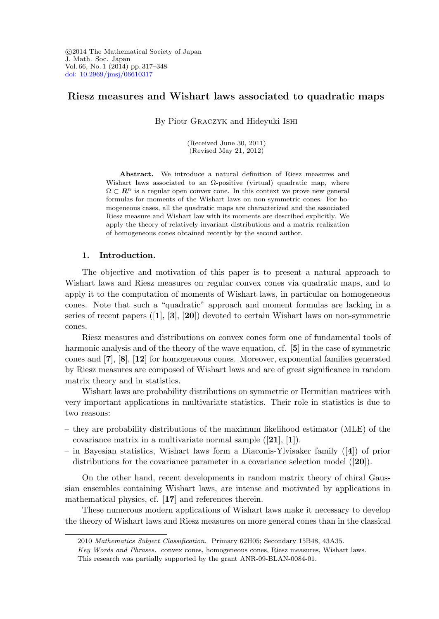°c 2014 The Mathematical Society of Japan J. Math. Soc. Japan Vol. 66, No. 1 (2014) pp. 317–348 [doi: 10.2969/jmsj/06610317](http://dx.doi.org/10.2969/jmsj/06610317)

# Riesz measures and Wishart laws associated to quadratic maps

By Piotr Graczyk and Hideyuki Ishi

(Received June 30, 2011) (Revised May 21, 2012)

Abstract. We introduce a natural definition of Riesz measures and Wishart laws associated to an  $\Omega$ -positive (virtual) quadratic map, where  $\Omega \subset \mathbb{R}^n$  is a regular open convex cone. In this context we prove new general formulas for moments of the Wishart laws on non-symmetric cones. For homogeneous cases, all the quadratic maps are characterized and the associated Riesz measure and Wishart law with its moments are described explicitly. We apply the theory of relatively invariant distributions and a matrix realization of homogeneous cones obtained recently by the second author.

## 1. Introduction.

The objective and motivation of this paper is to present a natural approach to Wishart laws and Riesz measures on regular convex cones via quadratic maps, and to apply it to the computation of moments of Wishart laws, in particular on homogeneous cones. Note that such a "quadratic" approach and moment formulas are lacking in a series of recent papers  $([1], [3], [20])$  devoted to certain Wishart laws on non-symmetric cones.

Riesz measures and distributions on convex cones form one of fundamental tools of harmonic analysis and of the theory of the wave equation, cf. [5] in the case of symmetric cones and [7], [8], [12] for homogeneous cones. Moreover, exponential families generated by Riesz measures are composed of Wishart laws and are of great significance in random matrix theory and in statistics.

Wishart laws are probability distributions on symmetric or Hermitian matrices with very important applications in multivariate statistics. Their role in statistics is due to two reasons:

- they are probability distributions of the maximum likelihood estimator (MLE) of the covariance matrix in a multivariate normal sample  $([21], [1])$ .
- in Bayesian statistics, Wishart laws form a Diaconis-Ylvisaker family ([4]) of prior distributions for the covariance parameter in a covariance selection model ([20]).

On the other hand, recent developments in random matrix theory of chiral Gaussian ensembles containing Wishart laws, are intense and motivated by applications in mathematical physics, cf. [17] and references therein.

These numerous modern applications of Wishart laws make it necessary to develop the theory of Wishart laws and Riesz measures on more general cones than in the classical

<sup>2010</sup> Mathematics Subject Classification. Primary 62H05; Secondary 15B48, 43A35.

Key Words and Phrases. convex cones, homogeneous cones, Riesz measures, Wishart laws.

This research was partially supported by the grant ANR-09-BLAN-0084-01.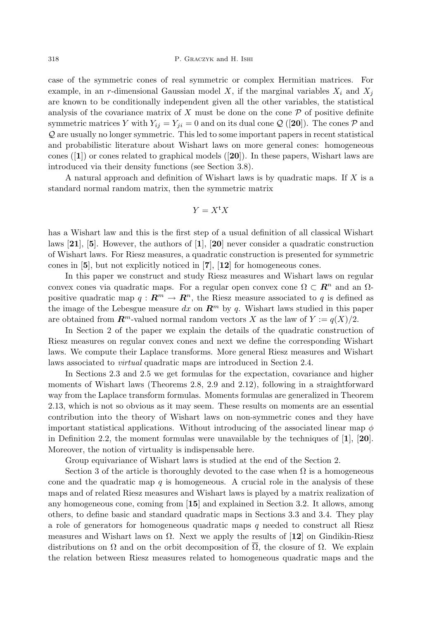case of the symmetric cones of real symmetric or complex Hermitian matrices. For example, in an r-dimensional Gaussian model X, if the marginal variables  $X_i$  and  $X_j$ are known to be conditionally independent given all the other variables, the statistical analysis of the covariance matrix of  $X$  must be done on the cone  $P$  of positive definite symmetric matrices Y with  $Y_{ij} = Y_{ji} = 0$  and on its dual cone Q ([20]). The cones P and Q are usually no longer symmetric. This led to some important papers in recent statistical and probabilistic literature about Wishart laws on more general cones: homogeneous cones ( $[1]$ ) or cones related to graphical models  $[20]$ ). In these papers, Wishart laws are introduced via their density functions (see Section 3.8).

A natural approach and definition of Wishart laws is by quadratic maps. If  $X$  is a standard normal random matrix, then the symmetric matrix

$$
Y=X^{\operatorname{t}}X
$$

has a Wishart law and this is the first step of a usual definition of all classical Wishart laws [21], [5]. However, the authors of [1], [20] never consider a quadratic construction of Wishart laws. For Riesz measures, a quadratic construction is presented for symmetric cones in [5], but not explicitly noticed in [7], [12] for homogeneous cones.

In this paper we construct and study Riesz measures and Wishart laws on regular convex cones via quadratic maps. For a regular open convex cone  $\Omega \subset \mathbb{R}^n$  and an  $\Omega$ positive quadratic map  $q : \mathbb{R}^m \to \mathbb{R}^n$ , the Riesz measure associated to q is defined as the image of the Lebesgue measure dx on  $\mathbb{R}^m$  by q. Wishart laws studied in this paper are obtained from  $\mathbb{R}^m$ -valued normal random vectors X as the law of  $Y := q(X)/2$ .

In Section 2 of the paper we explain the details of the quadratic construction of Riesz measures on regular convex cones and next we define the corresponding Wishart laws. We compute their Laplace transforms. More general Riesz measures and Wishart laws associated to virtual quadratic maps are introduced in Section 2.4.

In Sections 2.3 and 2.5 we get formulas for the expectation, covariance and higher moments of Wishart laws (Theorems 2.8, 2.9 and 2.12), following in a straightforward way from the Laplace transform formulas. Moments formulas are generalized in Theorem 2.13, which is not so obvious as it may seem. These results on moments are an essential contribution into the theory of Wishart laws on non-symmetric cones and they have important statistical applications. Without introducing of the associated linear map  $\phi$ in Definition 2.2, the moment formulas were unavailable by the techniques of [1], [20]. Moreover, the notion of virtuality is indispensable here.

Group equivariance of Wishart laws is studied at the end of the Section 2.

Section 3 of the article is thoroughly devoted to the case when  $\Omega$  is a homogeneous cone and the quadratic map  $q$  is homogeneous. A crucial role in the analysis of these maps and of related Riesz measures and Wishart laws is played by a matrix realization of any homogeneous cone, coming from [15] and explained in Section 3.2. It allows, among others, to define basic and standard quadratic maps in Sections 3.3 and 3.4. They play a role of generators for homogeneous quadratic maps  $q$  needed to construct all Riesz measures and Wishart laws on  $\Omega$ . Next we apply the results of [12] on Gindikin-Riesz distributions on  $\Omega$  and on the orbit decomposition of  $\overline{\Omega}$ , the closure of  $\Omega$ . We explain the relation between Riesz measures related to homogeneous quadratic maps and the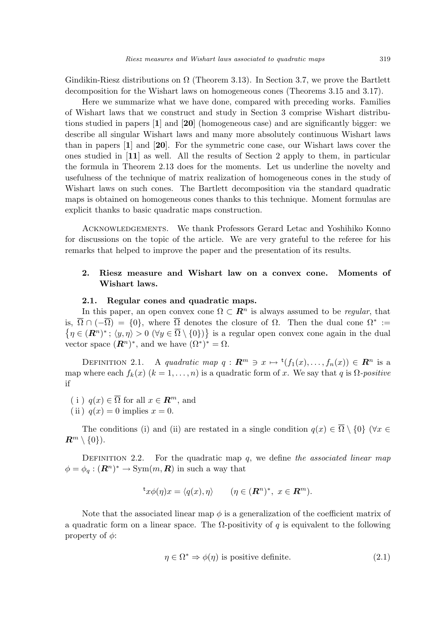Gindikin-Riesz distributions on  $\Omega$  (Theorem 3.13). In Section 3.7, we prove the Bartlett decomposition for the Wishart laws on homogeneous cones (Theorems 3.15 and 3.17).

Here we summarize what we have done, compared with preceding works. Families of Wishart laws that we construct and study in Section 3 comprise Wishart distributions studied in papers [1] and [20] (homogeneous case) and are significantly bigger: we describe all singular Wishart laws and many more absolutely continuous Wishart laws than in papers [1] and [20]. For the symmetric cone case, our Wishart laws cover the ones studied in [11] as well. All the results of Section 2 apply to them, in particular the formula in Theorem 2.13 does for the moments. Let us underline the novelty and usefulness of the technique of matrix realization of homogeneous cones in the study of Wishart laws on such cones. The Bartlett decomposition via the standard quadratic maps is obtained on homogeneous cones thanks to this technique. Moment formulas are explicit thanks to basic quadratic maps construction.

Acknowledgements. We thank Professors Gerard Letac and Yoshihiko Konno for discussions on the topic of the article. We are very grateful to the referee for his remarks that helped to improve the paper and the presentation of its results.

# 2. Riesz measure and Wishart law on a convex cone. Moments of Wishart laws.

#### 2.1. Regular cones and quadratic maps.

In this paper, an open convex cone  $\Omega \subset \mathbb{R}^n$  is always assumed to be *regular*, that is,  $\overline{\Omega} \cap (-\overline{\Omega}) = \{0\}$ , where  $\overline{\Omega}$  denotes the closure of  $\Omega$ . Then the dual cone  $\Omega^* :=$  $\eta \in (\mathbb{R}^n)^*$ ;  $\langle y, \eta \rangle > 0$   $(\forall y \in \overline{\Omega} \setminus \{0\})$  is a regular open convex cone again in the dual vector space  $(\mathbf{R}^n)^*$ , and we have  $(\Omega^*)^* = \Omega$ .

DEFINITION 2.1. A quadratic map  $q: \mathbb{R}^m \ni x \mapsto {}^{\rm t}(f_1(x), \ldots, f_n(x)) \in \mathbb{R}^n$  is a map where each  $f_k(x)$   $(k = 1, ..., n)$  is a quadratic form of x. We say that q is  $\Omega$ -positive if

- ( i )  $q(x) \in \overline{\Omega}$  for all  $x \in \mathbb{R}^m$ , and
- (ii)  $q(x) = 0$  implies  $x = 0$ .

The conditions (i) and (ii) are restated in a single condition  $q(x) \in \overline{\Omega} \setminus \{0\}$  ( $\forall x \in$  $\mathbb{R}^m \setminus \{0\}$ .

DEFINITION 2.2. For the quadratic map  $q$ , we define the associated linear map  $\phi = \phi_q : (\mathbf{R}^n)^* \to \text{Sym}(m, \mathbf{R})$  in such a way that

$$
{}^{\mathsf{t}}x\phi(\eta)x = \langle q(x), \eta \rangle \qquad (\eta \in (\mathbf{R}^n)^*, \ x \in \mathbf{R}^m).
$$

Note that the associated linear map  $\phi$  is a generalization of the coefficient matrix of a quadratic form on a linear space. The  $\Omega$ -positivity of q is equivalent to the following property of  $\phi$ :

$$
\eta \in \Omega^* \Rightarrow \phi(\eta) \text{ is positive definite.} \tag{2.1}
$$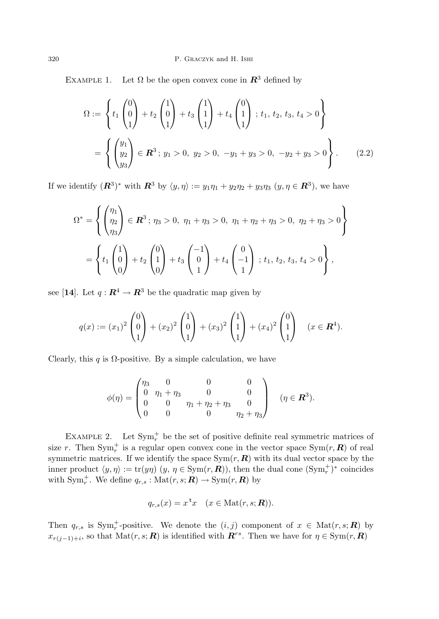EXAMPLE 1. Let  $\Omega$  be the open convex cone in  $\mathbb{R}^3$  defined by

$$
\Omega := \left\{ t_1 \begin{pmatrix} 0 \\ 0 \\ 1 \end{pmatrix} + t_2 \begin{pmatrix} 1 \\ 0 \\ 1 \end{pmatrix} + t_3 \begin{pmatrix} 1 \\ 1 \\ 1 \end{pmatrix} + t_4 \begin{pmatrix} 0 \\ 1 \\ 1 \end{pmatrix} ; t_1, t_2, t_3, t_4 > 0 \right\}
$$

$$
= \left\{ \begin{pmatrix} y_1 \\ y_2 \\ y_3 \end{pmatrix} \in \mathbb{R}^3 ; y_1 > 0, y_2 > 0, -y_1 + y_3 > 0, -y_2 + y_3 > 0 \right\}. \tag{2.2}
$$

If we identify  $(\mathbb{R}^3)^*$  with  $\mathbb{R}^3$  by  $\langle y, \eta \rangle := y_1 \eta_1 + y_2 \eta_2 + y_3 \eta_3$   $(y, \eta \in \mathbb{R}^3)$ , we have

$$
\Omega^* = \left\{ \begin{pmatrix} \eta_1 \\ \eta_2 \\ \eta_3 \end{pmatrix} \in \mathbf{R}^3 \, ; \, \eta_3 > 0, \, \eta_1 + \eta_3 > 0, \, \eta_1 + \eta_2 + \eta_3 > 0, \, \eta_2 + \eta_3 > 0 \right\}
$$
\n
$$
= \left\{ t_1 \begin{pmatrix} 1 \\ 0 \\ 0 \end{pmatrix} + t_2 \begin{pmatrix} 0 \\ 1 \\ 0 \end{pmatrix} + t_3 \begin{pmatrix} -1 \\ 0 \\ 1 \end{pmatrix} + t_4 \begin{pmatrix} 0 \\ -1 \\ 1 \end{pmatrix} \, ; \, t_1, \, t_2, \, t_3, \, t_4 > 0 \right\},
$$

see [14]. Let  $q: \mathbb{R}^4 \to \mathbb{R}^3$  be the quadratic map given by

$$
q(x) := (x_1)^2 \begin{pmatrix} 0 \\ 0 \\ 1 \end{pmatrix} + (x_2)^2 \begin{pmatrix} 1 \\ 0 \\ 1 \end{pmatrix} + (x_3)^2 \begin{pmatrix} 1 \\ 1 \\ 1 \end{pmatrix} + (x_4)^2 \begin{pmatrix} 0 \\ 1 \\ 1 \end{pmatrix} \quad (x \in \mathbb{R}^4).
$$

Clearly, this q is  $\Omega$ -positive. By a simple calculation, we have

$$
\phi(\eta) = \begin{pmatrix} \eta_3 & 0 & 0 & 0 \\ 0 & \eta_1 + \eta_3 & 0 & 0 \\ 0 & 0 & \eta_1 + \eta_2 + \eta_3 & 0 \\ 0 & 0 & 0 & \eta_2 + \eta_3 \end{pmatrix} \quad (\eta \in \mathbb{R}^3).
$$

EXAMPLE 2. Let  $\text{Sym}_r^+$  be the set of positive definite real symmetric matrices of size r. Then  $\text{Sym}_{r}^{+}$  is a regular open convex cone in the vector space  $\text{Sym}(r, \mathbf{R})$  of real symmetric matrices. If we identify the space  $\text{Sym}(r, \mathbf{R})$  with its dual vector space by the inner product  $\langle y, \eta \rangle := \text{tr}(y\eta)$   $(y, \eta \in \text{Sym}(r, \mathbf{R}))$ , then the dual cone  $(\text{Sym}_r^+)^*$  coincides with  $\text{Sym}_r^+$ . We define  $q_{r,s}: \text{Mat}(r,s; \mathbf{R}) \to \text{Sym}(r, \mathbf{R})$  by

$$
q_{r,s}(x) = x^{\mathsf{t}} x \quad (x \in \text{Mat}(r, s; \mathbf{R})).
$$

Then  $q_{r,s}$  is  $Sym_r^+$ -positive. We denote the  $(i, j)$  component of  $x \in Mat(r, s; R)$  by  $x_{r(j-1)+i}$ , so that Mat $(r, s; \mathbf{R})$  is identified with  $\mathbf{R}^{rs}$ . Then we have for  $\eta \in \text{Sym}(r, \mathbf{R})$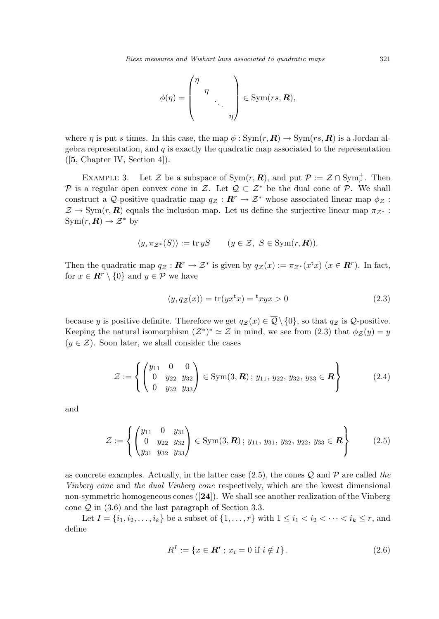$$
\phi(\eta) = \begin{pmatrix} \eta & & \\ & \eta & \\ & & \ddots & \\ & & & \eta \end{pmatrix} \in \text{Sym}(rs, \mathbb{R}),
$$

where  $\eta$  is put s times. In this case, the map  $\phi : \text{Sym}(r, \mathbf{R}) \to \text{Sym}(rs, \mathbf{R})$  is a Jordan algebra representation, and  $q$  is exactly the quadratic map associated to the representation ([5, Chapter IV, Section 4]).

EXAMPLE 3. Let Z be a subspace of  $\text{Sym}(r, \mathbb{R})$ , and put  $\mathcal{P} := \mathcal{Z} \cap \text{Sym}_r^+$ . Then P is a regular open convex cone in Z. Let  $\mathcal{Q} \subset \mathcal{Z}^*$  be the dual cone of P. We shall construct a Q-positive quadratic map  $q_Z : \mathbf{R}^r \to \mathcal{Z}^*$  whose associated linear map  $\phi_Z$ :  $\mathcal{Z} \to \text{Sym}(r, \mathbf{R})$  equals the inclusion map. Let us define the surjective linear map  $\pi_{\mathcal{Z}^*}$ :  $\text{Sym}(r, \mathbf{R}) \to \mathcal{Z}^*$  by

$$
\langle y, \pi_{\mathcal{Z}^*}(S) \rangle := \operatorname{tr} yS \qquad (y \in \mathcal{Z}, \ S \in \operatorname{Sym}(r, \mathbf{R})).
$$

Then the quadratic map  $q_{\mathcal{Z}}: \mathbf{R}^r \to \mathcal{Z}^*$  is given by  $q_{\mathcal{Z}}(x) := \pi_{\mathcal{Z}^*}(x^{\mathsf{t}} x)$   $(x \in \mathbf{R}^r)$ . In fact, for  $x \in \mathbb{R}^r \setminus \{0\}$  and  $y \in \mathcal{P}$  we have

$$
\langle y, q_{\mathcal{Z}}(x) \rangle = \text{tr}(yx^{\text{t}}x) = \text{t}xyx > 0 \tag{2.3}
$$

because y is positive definite. Therefore we get  $q_Z(x) \in \overline{Q} \setminus \{0\}$ , so that  $q_Z$  is  $\mathcal{Q}$ -positive. Keeping the natural isomorphism  $(\mathcal{Z}^*)^* \simeq \mathcal{Z}$  in mind, we see from (2.3) that  $\phi_{\mathcal{Z}}(y) = y$  $(y \in \mathcal{Z})$ . Soon later, we shall consider the cases

$$
\mathcal{Z} := \left\{ \begin{pmatrix} y_{11} & 0 & 0 \\ 0 & y_{22} & y_{32} \\ 0 & y_{32} & y_{33} \end{pmatrix} \in \text{Sym}(3, \mathbf{R}); y_{11}, y_{22}, y_{32}, y_{33} \in \mathbf{R} \right\}
$$
(2.4)

and

$$
\mathcal{Z} := \left\{ \begin{pmatrix} y_{11} & 0 & y_{31} \\ 0 & y_{22} & y_{32} \\ y_{31} & y_{32} & y_{33} \end{pmatrix} \in \text{Sym}(3, \mathbf{R}); y_{11}, y_{31}, y_{32}, y_{22}, y_{33} \in \mathbf{R} \right\}
$$
(2.5)

as concrete examples. Actually, in the latter case (2.5), the cones  $\mathcal Q$  and  $\mathcal P$  are called the Vinberg cone and the dual Vinberg cone respectively, which are the lowest dimensional non-symmetric homogeneous cones  $([24])$ . We shall see another realization of the Vinberg cone  $\mathcal Q$  in (3.6) and the last paragraph of Section 3.3.

Let  $I = \{i_1, i_2, \ldots, i_k\}$  be a subset of  $\{1, \ldots, r\}$  with  $1 \leq i_1 < i_2 < \cdots < i_k \leq r$ , and define

$$
R^{I} := \{ x \in \mathbf{R}^{r} \, ; \, x_{i} = 0 \text{ if } i \notin I \}. \tag{2.6}
$$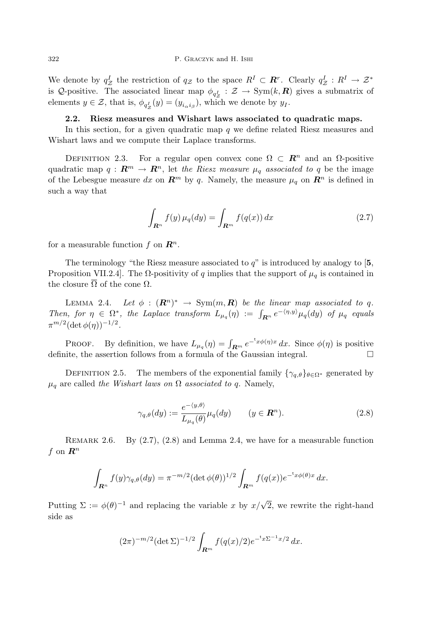We denote by  $q_Z^I$  the restriction of  $q_Z$  to the space  $R^I \subset \mathbb{R}^r$ . Clearly  $q_Z^I : R^I \to \mathcal{Z}^*$ is Q-positive. The associated linear map  $\phi_{q_Z}$ :  $\mathcal{Z} \to \text{Sym}(k, \mathbb{R})$  gives a submatrix of elements  $y \in \mathcal{Z}$ , that is,  $\phi_{q_Z^I}(y) = (y_{i_\alpha i_\beta})$ , which we denote by  $y_I$ .

## 2.2. Riesz measures and Wishart laws associated to quadratic maps.

In this section, for a given quadratic map q we define related Riesz measures and Wishart laws and we compute their Laplace transforms.

DEFINITION 2.3. For a regular open convex cone  $\Omega \subset \mathbb{R}^n$  and an  $\Omega$ -positive quadratic map  $q : \mathbf{R}^m \to \mathbf{R}^n$ , let the Riesz measure  $\mu_q$  associated to q be the image of the Lebesgue measure dx on  $\mathbb{R}^m$  by q. Namely, the measure  $\mu_q$  on  $\mathbb{R}^n$  is defined in such a way that

$$
\int_{\mathbf{R}^n} f(y) \,\mu_q(dy) = \int_{\mathbf{R}^m} f(q(x)) \, dx \tag{2.7}
$$

for a measurable function f on  $\mathbb{R}^n$ .

The terminology "the Riesz measure associated to  $q$ " is introduced by analogy to [5, Proposition VII.2.4]. The  $\Omega$ -positivity of q implies that the support of  $\mu_q$  is contained in the closure  $\overline{\Omega}$  of the cone  $\Omega$ .

LEMMA 2.4. Let  $\phi : (\mathbb{R}^n)^* \to \text{Sym}(m, \mathbb{R})$  be the linear map associated to q. Then, for  $\eta \in \Omega^*$ , the Laplace transform  $L_{\mu_q}(\eta) := \int_{\mathbf{R}^n} e^{-\langle \eta, y \rangle} \mu_q(dy)$  of  $\mu_q$  equals  $\pi^{m/2} (\det \phi(\eta))^{-1/2}.$ 

PROOF. By definition, we have  $L_{\mu_q}(\eta) = \int_{\mathbf{R}^m} e^{-x} \phi(\eta) x \, dx$ . Since  $\phi(\eta)$  is positive definite, the assertion follows from a formula of the Gaussian integral.

DEFINITION 2.5. The members of the exponential family  $\{\gamma_{q,\theta}\}_{\theta \in \Omega^*}$  generated by  $\mu_q$  are called the Wishart laws on  $\Omega$  associated to q. Namely,

$$
\gamma_{q,\theta}(dy) := \frac{e^{-\langle y,\theta \rangle}}{L_{\mu_q}(\theta)} \mu_q(dy) \qquad (y \in \mathbb{R}^n). \tag{2.8}
$$

REMARK 2.6. By  $(2.7), (2.8)$  and Lemma 2.4, we have for a measurable function f on  $\mathbb{R}^n$ 

$$
\int_{\mathbf{R}^n} f(y)\gamma_{q,\theta}(dy) = \pi^{-m/2} (\det \phi(\theta))^{1/2} \int_{\mathbf{R}^m} f(q(x)) e^{-\mathfrak{r}_x \phi(\theta)x} dx.
$$

Putting  $\Sigma := \phi(\theta)^{-1}$  and replacing the variable x by  $x/\sqrt{2}$ , we rewrite the right-hand side as

$$
(2\pi)^{-m/2} (\det \Sigma)^{-1/2} \int_{\mathbf{R}^m} f(q(x)/2) e^{-\mathfrak{t}_x \Sigma^{-1} x/2} dx.
$$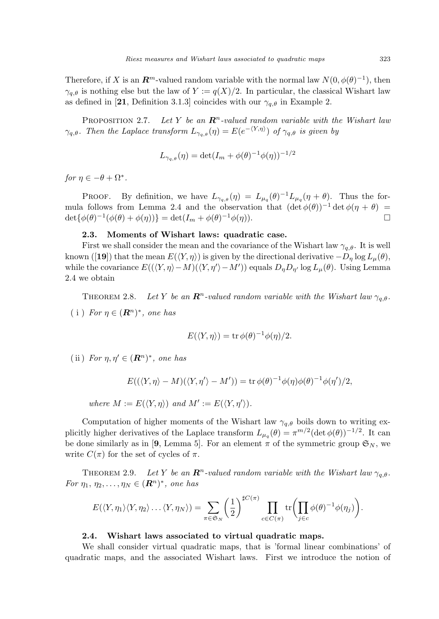Therefore, if X is an  $\mathbb{R}^m$ -valued random variable with the normal law  $N(0, \phi(\theta)^{-1})$ , then  $\gamma_{a,\theta}$  is nothing else but the law of  $Y := q(X)/2$ . In particular, the classical Wishart law as defined in [21, Definition 3.1.3] coincides with our  $\gamma_{q,\theta}$  in Example 2.

PROPOSITION 2.7. Let Y be an  $\mathbb{R}^n$ -valued random variable with the Wishart law  $\gamma_{q,\theta}$ . Then the Laplace transform  $L_{\gamma_{q,\theta}}(\eta) = E(e^{-\langle Y,\eta \rangle})$  of  $\gamma_{q,\theta}$  is given by

$$
L_{\gamma_{q,\theta}}(\eta) = \det(I_m + \phi(\theta)^{-1}\phi(\eta))^{-1/2}
$$

for  $\eta \in -\theta + \Omega^*$ .

PROOF. By definition, we have  $L_{\gamma_q,\theta}(\eta) = L_{\mu_q}(\theta)^{-1} L_{\mu_q}(\eta + \theta)$ . Thus the formula follows from Lemma 2.4 and the observation that  $(\det \phi(\theta))^{-1} \det \phi(\eta + \theta) =$  $\det{\{\phi(\theta)^{-1}(\phi(\theta) + \phi(\eta))\}} = \det(I_m + \phi(\theta)^{-1}\phi(\eta)).$ 

## 2.3. Moments of Wishart laws: quadratic case.

First we shall consider the mean and the covariance of the Wishart law  $\gamma_{a,\theta}$ . It is well known ([19]) that the mean  $E(\langle Y, \eta \rangle)$  is given by the directional derivative  $-D_n \log L_n(\theta)$ , while the covariance  $E((\langle Y, \eta \rangle - M)(\langle Y, \eta' \rangle - M'))$  equals  $D_{\eta}D_{\eta'}$  log  $L_{\mu}(\theta)$ . Using Lemma 2.4 we obtain

THEOREM 2.8. Let Y be an  $\mathbb{R}^n$ -valued random variable with the Wishart law  $\gamma_{q,\theta}$ . (i) For  $\eta \in (\mathbf{R}^n)^*$ , one has

$$
E(\langle Y, \eta \rangle) = \text{tr}\,\phi(\theta)^{-1}\phi(\eta)/2.
$$

(ii) For  $\eta, \eta' \in (\mathbf{R}^n)^*$ , one has

$$
E((\langle Y, \eta \rangle - M)(\langle Y, \eta' \rangle - M')) = \text{tr}\,\phi(\theta)^{-1}\phi(\eta)\phi(\theta)^{-1}\phi(\eta')/2,
$$

where  $M := E(\langle Y, \eta \rangle)$  and  $M' := E(\langle Y, \eta' \rangle)$ .

Computation of higher moments of the Wishart law  $\gamma_{q,\theta}$  boils down to writing explicitly higher derivatives of the Laplace transform  $L_{\mu_q}(\theta) = \pi^{m/2} (\det \phi(\theta))^{-1/2}$ . It can be done similarly as in [9, Lemma 5]. For an element  $\pi$  of the symmetric group  $\mathfrak{S}_N$ , we write  $C(\pi)$  for the set of cycles of  $\pi$ .

THEOREM 2.9. Let Y be an  $\mathbb{R}^n$ -valued random variable with the Wishart law  $\gamma_{q,\theta}$ . For  $\eta_1, \eta_2, \ldots, \eta_N \in (\mathbb{R}^n)^*$ , one has

$$
E(\langle Y, \eta_1 \rangle \langle Y, \eta_2 \rangle \dots \langle Y, \eta_N \rangle) = \sum_{\pi \in \mathfrak{S}_N} \left(\frac{1}{2}\right)^{\sharp C(\pi)} \prod_{c \in C(\pi)} \text{tr}\left(\prod_{j \in c} \phi(\theta)^{-1} \phi(\eta_j)\right).
$$

#### 2.4. Wishart laws associated to virtual quadratic maps.

We shall consider virtual quadratic maps, that is 'formal linear combinations' of quadratic maps, and the associated Wishart laws. First we introduce the notion of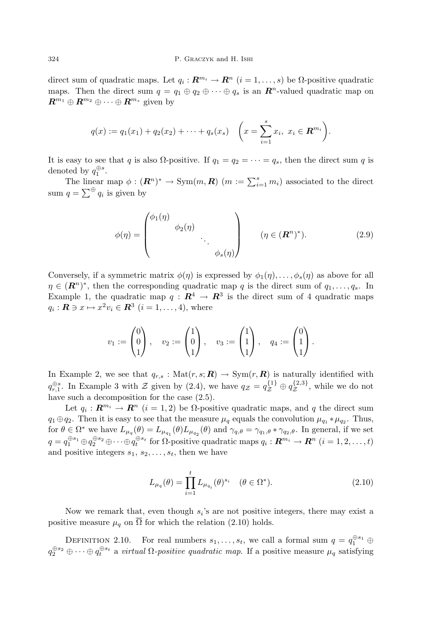direct sum of quadratic maps. Let  $q_i: \mathbf{R}^{m_i} \to \mathbf{R}^{n}$   $(i = 1, \ldots, s)$  be  $\Omega$ -positive quadratic maps. Then the direct sum  $q = q_1 \oplus q_2 \oplus \cdots \oplus q_s$  is an  $\mathbb{R}^n$ -valued quadratic map on  $\mathbb{R}^{m_1} \oplus \mathbb{R}^{m_2} \oplus \cdots \oplus \mathbb{R}^{m_s}$  given by

$$
q(x) := q_1(x_1) + q_2(x_2) + \cdots + q_s(x_s) \quad \bigg(x = \sum_{i=1}^s x_i, \ x_i \in \mathbf{R}^{m_i}\bigg).
$$

It is easy to see that q is also  $\Omega$ -positive. If  $q_1 = q_2 = \cdots = q_s$ , then the direct sum q is denoted by  $q_1^{\oplus s}$ .

The linear map  $\phi : (\mathbf{R}^n)^* \to \text{Sym}(m, \mathbf{R})$   $(m := \sum_{i=1}^s m_i)$  associated to the direct sum  $q = \sum^{\oplus} q_i$  is given by

$$
\phi(\eta) = \begin{pmatrix} \phi_1(\eta) & & \\ & \phi_2(\eta) & \\ & & \ddots \\ & & & \phi_s(\eta) \end{pmatrix} \qquad (\eta \in (\mathbb{R}^n)^*). \tag{2.9}
$$

Conversely, if a symmetric matrix  $\phi(\eta)$  is expressed by  $\phi_1(\eta), \ldots, \phi_s(\eta)$  as above for all  $\eta \in (\mathbb{R}^n)^*$ , then the corresponding quadratic map q is the direct sum of  $q_1, \ldots, q_s$ . In Example 1, the quadratic map  $q: \mathbb{R}^4 \to \mathbb{R}^3$  is the direct sum of 4 quadratic maps  $q_i: \mathbf{R} \ni x \mapsto x^2v_i \in \mathbf{R}^3$   $(i = 1, \ldots, 4)$ , where

$$
v_1 := \begin{pmatrix} 0 \\ 0 \\ 1 \end{pmatrix}, \quad v_2 := \begin{pmatrix} 1 \\ 0 \\ 1 \end{pmatrix}, \quad v_3 := \begin{pmatrix} 1 \\ 1 \\ 1 \end{pmatrix}, \quad q_4 := \begin{pmatrix} 0 \\ 1 \\ 1 \end{pmatrix}.
$$

In Example 2, we see that  $q_{r,s}$ : Mat $(r,s; \mathbf{R}) \to \text{Sym}(r, \mathbf{R})$  is naturally identified with  $q_{r,1}^{\oplus s}$ . In Example 3 with  $\mathcal Z$  given by (2.4), we have  $q_{\mathcal Z}=q_{\mathcal Z}^{\{1\}}\oplus q_{\mathcal Z}^{\{2,3\}}$  $\mathcal{Z}^{(2,3)}$ , while we do not have such a decomposition for the case  $(2.5)$ .

Let  $q_i: \mathbf{R}^{m_i} \to \mathbf{R}^n$   $(i = 1, 2)$  be  $\Omega$ -positive quadratic maps, and q the direct sum  $q_1 \oplus q_2$ . Then it is easy to see that the measure  $\mu_q$  equals the convolution  $\mu_{q_1} * \mu_{q_2}$ . Thus, for  $\theta \in \Omega^*$  we have  $L_{\mu_q}(\theta) = L_{\mu_{q_1}}(\theta) L_{\mu_{q_2}}(\theta)$  and  $\gamma_{q,\theta} = \gamma_{q_1,\theta} * \gamma_{q_2,\theta}$ . In general, if we set  $q=q_1^{\oplus s_1}\oplus q_2^{\oplus s_2}\oplus \cdots \oplus q_t^{\oplus s_t} \text{ for $\Omega$-positive quadratic maps }q_i:\boldsymbol{R}^{m_i}\rightarrow \boldsymbol{R}^n\;(i=1,2,\ldots,t)$ and positive integers  $s_1, s_2, \ldots, s_t$ , then we have

$$
L_{\mu_q}(\theta) = \prod_{i=1}^t L_{\mu_{q_i}}(\theta)^{s_i} \quad (\theta \in \Omega^*).
$$
 (2.10)

Now we remark that, even though  $s_i$ 's are not positive integers, there may exist a positive measure  $\mu_q$  on  $\overline{\Omega}$  for which the relation (2.10) holds.

DEFINITION 2.10. For real numbers  $s_1, \ldots, s_t$ , we call a formal sum  $q = q_1^{\oplus s_1} \oplus$  $q_2^{\oplus s_2} \oplus \cdots \oplus q_t^{\oplus s_t}$  a *virtual*  $\Omega$ -positive quadratic map. If a positive measure  $\mu_q$  satisfying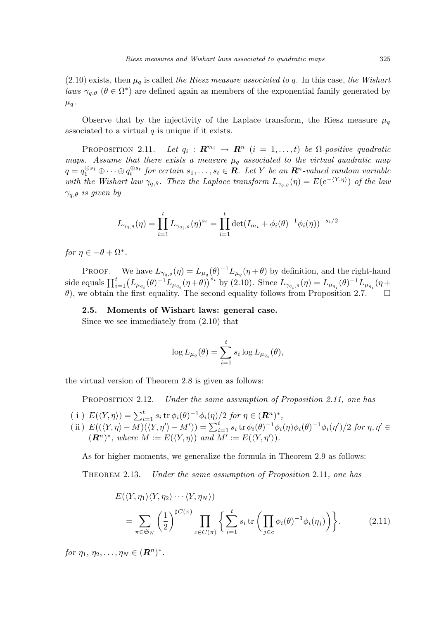$(2.10)$  exists, then  $\mu_q$  is called the Riesz measure associated to q. In this case, the Wishart laws  $\gamma_{q,\theta}$  ( $\theta \in \Omega^*$ ) are defined again as members of the exponential family generated by  $\mu_q$ .

Observe that by the injectivity of the Laplace transform, the Riesz measure  $\mu_q$ associated to a virtual  $q$  is unique if it exists.

PROPOSITION 2.11. Let  $q_i: \mathbf{R}^{m_i} \to \mathbf{R}^n$   $(i = 1, \ldots, t)$  be  $\Omega$ -positive quadratic maps. Assume that there exists a measure  $\mu_q$  associated to the virtual quadratic map  $q = q_1^{\oplus s_1} \oplus \cdots \oplus q_t^{\oplus s_t}$  for certain  $s_1, \ldots, s_t \in \mathbb{R}$ . Let Y be an  $\mathbb{R}^n$ -valued random variable with the Wishart law  $\gamma_{q,\theta}$ . Then the Laplace transform  $L_{\gamma_{q,\theta}}(\eta) = E(e^{-\langle Y,\eta \rangle})$  of the law  $\gamma_{q,\theta}$  is given by

$$
L_{\gamma_{q,\theta}}(\eta) = \prod_{i=1}^{t} L_{\gamma_{q_i,\theta}}(\eta)^{s_i} = \prod_{i=1}^{t} \det(I_{m_i} + \phi_i(\theta)^{-1} \phi_i(\eta))^{-s_i/2}
$$

for  $\eta \in -\theta + \Omega^*$ .

PROOF. We have  $L_{\gamma_q,\theta}(\eta) = L_{\mu_q}(\theta)^{-1} L_{\mu_q}(\eta + \theta)$  by definition, and the right-hand side equals  $\prod_{i=1}^{t} (L_{\mu_{q_i}}(\theta)^{-1} L_{\mu_{q_i}}(\eta+\theta))^{s_i}$ by (2.10). Since  $L_{\gamma_{q_i},\theta}(\eta) = L_{\mu_{q_i}}(\theta)^{-1} L_{\mu_{q_i}}(\eta +$  $\theta$ ), we obtain the first equality. The second equality follows from Proposition 2.7.  $\Box$ 

2.5. Moments of Wishart laws: general case.

Since we see immediately from (2.10) that

$$
\log L_{\mu_q}(\theta) = \sum_{i=1}^t s_i \log L_{\mu_{q_i}}(\theta),
$$

the virtual version of Theorem 2.8 is given as follows:

PROPOSITION 2.12. Under the same assumption of Proposition 2.11, one has

( i )  $E(\langle Y, \eta \rangle) = \sum_{i=1}^{t} s_i \operatorname{tr} \phi_i(\theta)^{-1} \phi_i(\eta) / 2$  for  $\eta \in (\mathbb{R}^n)^*$ , (i)  $E((Y, \eta) - \sum_{i=1}^{\infty} s_i \alpha \varphi_i(\theta) - \varphi_i(\eta)/2$  for  $\eta \in (I\mathcal{E})$ ,<br>
(ii)  $E((\langle Y, \eta \rangle - M)(\langle Y, \eta' \rangle - M')) = \sum_{i=1}^{\infty} s_i \operatorname{tr} \varphi_i(\theta)^{-1} \varphi_i(\eta) \varphi_i(\theta)^{-1} \varphi_i(\eta')/2$  for  $\eta, \eta' \in$  $(\mathbf{R}^n)^*$ , where  $M := E(\langle Y, \eta \rangle)$  and  $M' := E(\langle Y, \eta' \rangle)$ .

As for higher moments, we generalize the formula in Theorem 2.9 as follows:

Theorem 2.13. Under the same assumption of Proposition 2.11, one has

$$
E(\langle Y, \eta_1 \rangle \langle Y, \eta_2 \rangle \cdots \langle Y, \eta_N \rangle) = \sum_{\pi \in \mathfrak{S}_N} \left( \frac{1}{2} \right)^{\sharp C(\pi)} \prod_{c \in C(\pi)} \left\{ \sum_{i=1}^t s_i \operatorname{tr} \left( \prod_{j \in c} \phi_i(\theta)^{-1} \phi_i(\eta_j) \right) \right\}.
$$
 (2.11)

for  $\eta_1, \eta_2, \ldots, \eta_N \in (\mathbf{R}^n)^*$ .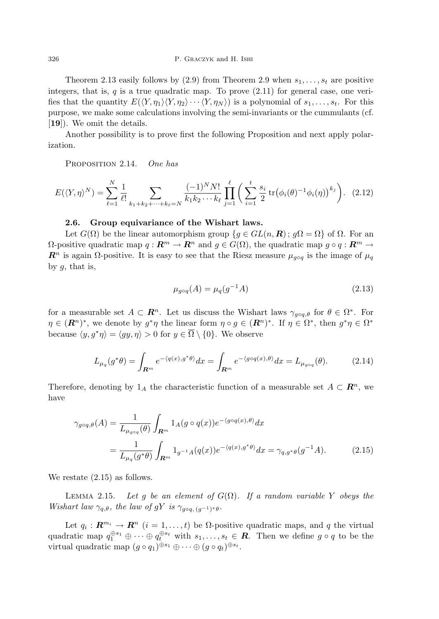Theorem 2.13 easily follows by  $(2.9)$  from Theorem 2.9 when  $s_1, \ldots, s_t$  are positive integers, that is,  $q$  is a true quadratic map. To prove  $(2.11)$  for general case, one verifies that the quantity  $E(\langle Y, \eta_1 \rangle \langle Y, \eta_2 \rangle \cdots \langle Y, \eta_N \rangle)$  is a polynomial of  $s_1, \ldots, s_t$ . For this purpose, we make some calculations involving the semi-invariants or the cummulants (cf. [19]). We omit the details.

Another possibility is to prove first the following Proposition and next apply polarization.

PROPOSITION 2.14. One has

$$
E(\langle Y, \eta \rangle^N) = \sum_{\ell=1}^N \frac{1}{\ell!} \sum_{k_1 + k_2 + \dots + k_\ell = N} \frac{(-1)^N N!}{k_1 k_2 \cdots k_\ell} \prod_{j=1}^\ell \left( \sum_{i=1}^t \frac{s_i}{2} \text{tr}(\phi_i(\theta)^{-1} \phi_i(\eta))^{k_j} \right). \tag{2.12}
$$

#### 2.6. Group equivariance of the Wishart laws.

Let  $G(\Omega)$  be the linear automorphism group  $\{q \in GL(n,\mathbf{R})\colon q\Omega = \Omega\}$  of  $\Omega$ . For an  $\Omega$ -positive quadratic map  $q : \mathbb{R}^m \to \mathbb{R}^n$  and  $q \in G(\Omega)$ , the quadratic map  $q \circ q : \mathbb{R}^m \to$  $\mathbb{R}^n$  is again  $\Omega$ -positive. It is easy to see that the Riesz measure  $\mu_{q \circ q}$  is the image of  $\mu_q$ by  $g$ , that is,

$$
\mu_{g \circ q}(A) = \mu_q(g^{-1}A) \tag{2.13}
$$

for a measurable set  $A \subset \mathbb{R}^n$ . Let us discuss the Wishart laws  $\gamma_{g \circ q, \theta}$  for  $\theta \in \Omega^*$ . For  $\eta \in (\mathbb{R}^n)^*$ , we denote by  $g^*\eta$  the linear form  $\eta \circ g \in (\mathbb{R}^n)^*$ . If  $\eta \in \Omega^*$ , then  $g^*\eta \in \Omega^*$ because  $\langle y, g^* \eta \rangle = \langle gy, \eta \rangle > 0$  for  $y \in \overline{\Omega} \setminus \{0\}$ . We observe

$$
L_{\mu_q}(g^*\theta) = \int_{\mathbf{R}^m} e^{-\langle q(x), g^*\theta \rangle} dx = \int_{\mathbf{R}^m} e^{-\langle g \circ q(x), \theta \rangle} dx = L_{\mu_{g \circ q}}(\theta). \tag{2.14}
$$

Therefore, denoting by  $1_A$  the characteristic function of a measurable set  $A \subset \mathbb{R}^n$ , we have

$$
\gamma_{g \circ q, \theta}(A) = \frac{1}{L_{\mu_{g \circ q}}(\theta)} \int_{\mathbf{R}^m} 1_A(g \circ q(x)) e^{-\langle g \circ q(x), \theta \rangle} dx
$$
  
= 
$$
\frac{1}{L_{\mu_q}(g^*\theta)} \int_{\mathbf{R}^m} 1_{g^{-1}A}(q(x)) e^{-\langle q(x), g^*\theta \rangle} dx = \gamma_{q, g^*\theta}(g^{-1}A).
$$
 (2.15)

We restate (2.15) as follows.

LEMMA 2.15. Let g be an element of  $G(\Omega)$ . If a random variable Y obeys the Wishart law  $\gamma_{q,\theta}$ , the law of gY is  $\gamma_{q\circ q,(q^{-1})^*\theta}$ .

Let  $q_i: \mathbf{R}^{m_i} \to \mathbf{R}^n$   $(i = 1, ..., t)$  be  $\Omega$ -positive quadratic maps, and q the virtual quadratic map  $q_1^{\oplus s_1} \oplus \cdots \oplus q_t^{\oplus s_t}$  with  $s_1, \ldots, s_t \in \mathbf{R}$ . Then we define  $g \circ q$  to be the virtual quadratic map  $(g \circ q_1)^{\oplus s_1} \oplus \cdots \oplus (g \circ q_t)^{\oplus s_t}$ .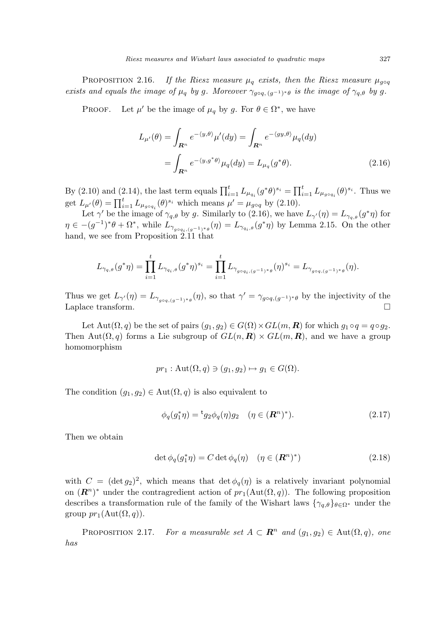PROPOSITION 2.16. If the Riesz measure  $\mu_q$  exists, then the Riesz measure  $\mu_{q \circ q}$ exists and equals the image of  $\mu_q$  by g. Moreover  $\gamma_{g \circ q, (g^{-1})^* \theta}$  is the image of  $\gamma_{q, \theta}$  by g.

PROOF. ' be the image of  $\mu_q$  by g. For  $\theta \in \Omega^*$ , we have

$$
L_{\mu'}(\theta) = \int_{\mathbf{R}^n} e^{-\langle y, \theta \rangle} \mu'(dy) = \int_{\mathbf{R}^n} e^{-\langle gy, \theta \rangle} \mu_q(dy)
$$

$$
= \int_{\mathbf{R}^n} e^{-\langle y, g^* \theta \rangle} \mu_q(dy) = L_{\mu_q}(g^* \theta).
$$
(2.16)

By (2.10) and (2.14), the last term equals  $\prod_{i=1}^{t} L_{\mu_{q_i}}(g^*\theta)^{s_i} = \prod_{i=1}^{t} L_{\mu_{g \circ q_i}}(\theta)^{s_i}$ . Thus we get  $L_{\mu'}(\theta) = \prod_{i=1}^{t} L_{\mu_{g \circ q_i}}(\theta)^{s_i}$  which means  $\mu' = \mu_{g \circ q}$  by (2.10).

Let  $\gamma'$  be the image of  $\gamma_{q,\theta}$  by g. Similarly to (2.16), we have  $L_{\gamma'}(\eta) = L_{\gamma_{q,\theta}}(g^*\eta)$  for  $\eta \in -(g^{-1})^*\theta + \Omega^*,$  while  $L_{\gamma_{g \circ q_i(g^{-1})^*\theta}}(\eta) = L_{\gamma_{q_i,\theta}}(g^*\eta)$  by Lemma 2.15. On the other hand, we see from Proposition 2.11 that

$$
L_{\gamma_{q,\theta}}(g^*\eta) = \prod_{i=1}^t L_{\gamma_{q_i,\theta}}(g^*\eta)^{s_i} = \prod_{i=1}^t L_{\gamma_{g\circ q_i,(g^{-1})^*\theta}}(\eta)^{s_i} = L_{\gamma_{g\circ q,(g^{-1})^*\theta}}(\eta).
$$

Thus we get  $L_{\gamma'}(\eta) = L_{\gamma_{g \circ q, (g^{-1})^*\theta}}(\eta)$ , so that  $\gamma' = \gamma_{g \circ q, (g^{-1})^*\theta}$  by the injectivity of the Laplace transform.  $\Box$ 

Let Aut $(\Omega, q)$  be the set of pairs  $(g_1, g_2) \in G(\Omega) \times GL(m, \mathbb{R})$  for which  $g_1 \circ q = q \circ g_2$ . Then Aut $(\Omega, q)$  forms a Lie subgroup of  $GL(n, \mathbf{R}) \times GL(m, \mathbf{R})$ , and we have a group homomorphism

$$
pr_1: \operatorname{Aut}(\Omega, q) \ni (g_1, g_2) \mapsto g_1 \in G(\Omega).
$$

The condition  $(g_1, g_2) \in \text{Aut}(\Omega, q)$  is also equivalent to

$$
\phi_q(g_1^*\eta) = {}^{\mathrm{t}}g_2\phi_q(\eta)g_2 \quad (\eta \in (\mathbf{R}^n)^*). \tag{2.17}
$$

Then we obtain

$$
\det \phi_q(g_1^*\eta) = C \det \phi_q(\eta) \quad (\eta \in (\mathbf{R}^n)^*)
$$
\n(2.18)

with  $C = (\det g_2)^2$ , which means that  $\det \phi_q(\eta)$  is a relatively invariant polynomial on  $(\mathbb{R}^n)^*$  under the contragredient action of  $pr_1(\text{Aut}(\Omega, q))$ . The following proposition describes a transformation rule of the family of the Wishart laws  $\{\gamma_{q,\theta}\}_{\theta \in \Omega^*}$  under the group  $pr_1(\text{Aut}(\Omega, q)).$ 

PROPOSITION 2.17. For a measurable set  $A \subset \mathbb{R}^n$  and  $(g_1, g_2) \in \text{Aut}(\Omega, q)$ , one has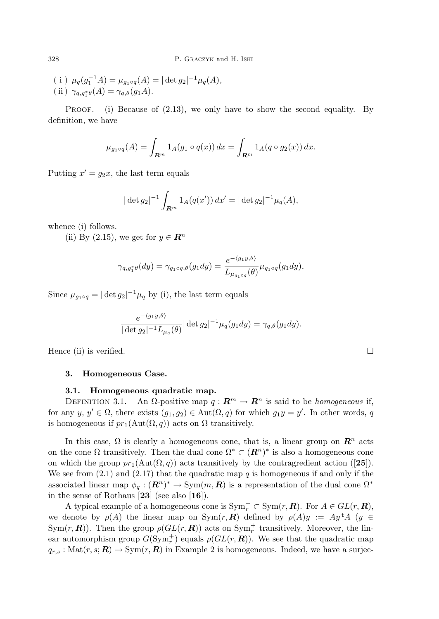(i)  $\mu_q(g_1^{-1}A) = \mu_{g_1 \circ q}(A) = |\det g_2|^{-1} \mu_q(A)$ , (ii)  $\gamma_{q,g_1^*\theta}(A) = \gamma_{q,\theta}(g_1A).$ 

PROOF. (i) Because of  $(2.13)$ , we only have to show the second equality. By definition, we have

$$
\mu_{g_1 \circ q}(A) = \int_{\mathbf{R}^m} 1_A(g_1 \circ q(x)) dx = \int_{\mathbf{R}^m} 1_A(q \circ g_2(x)) dx.
$$

Putting  $x' = g_2x$ , the last term equals

$$
|\det g_2|^{-1} \int_{\mathbf{R}^m} 1_A(q(x')) dx' = |\det g_2|^{-1} \mu_q(A),
$$

whence (i) follows.

(ii) By (2.15), we get for  $y \in \mathbb{R}^n$ 

$$
\gamma_{q,g_1^*\theta}(dy) = \gamma_{g_1 \circ q, \theta}(g_1 dy) = \frac{e^{-\langle g_1 y, \theta \rangle}}{L_{\mu_{g_1 \circ q}}(\theta)} \mu_{g_1 \circ q}(g_1 dy),
$$

Since  $\mu_{g_1 \circ q} = |\det g_2|^{-1} \mu_q$  by (i), the last term equals

$$
\frac{e^{-\langle g_1y,\theta\rangle}}{|\det g_2|^{-1}L_{\mu_q}(\theta)}|\det g_2|^{-1}\mu_q(g_1dy)=\gamma_{q,\theta}(g_1dy).
$$

Hence (ii) is verified.  $\Box$ 

## 3. Homogeneous Case.

#### 3.1. Homogeneous quadratic map.

DEFINITION 3.1. An  $\Omega$ -positive map  $q : \mathbb{R}^m \to \mathbb{R}^n$  is said to be *homogeneous* if, for any  $y, y' \in \Omega$ , there exists  $(g_1, g_2) \in \text{Aut}(\Omega, q)$  for which  $g_1y = y'$ . In other words, q is homogeneous if  $pr_1(\text{Aut}(\Omega, q))$  acts on  $\Omega$  transitively.

In this case,  $\Omega$  is clearly a homogeneous cone, that is, a linear group on  $\mathbb{R}^n$  acts on the cone  $\Omega$  transitively. Then the dual cone  $\Omega^* \subset (\mathbb{R}^n)^*$  is also a homogeneous cone on which the group  $pr_1(\text{Aut}(\Omega, q))$  acts transitively by the contragredient action ([25]). We see from  $(2.1)$  and  $(2.17)$  that the quadratic map q is homogeneous if and only if the associated linear map  $\phi_q:(\mathbf{R}^n)^* \to \text{Sym}(m,\mathbf{R})$  is a representation of the dual cone  $\Omega^*$ in the sense of Rothaus [23] (see also [16]).

A typical example of a homogeneous cone is  $\text{Sym}_r^+ \subset \text{Sym}(r, \mathbb{R})$ . For  $A \in GL(r, \mathbb{R})$ , we denote by  $\rho(A)$  the linear map on Sym $(r, R)$  defined by  $\rho(A)y := Ay^{\dagger}A$  (y Sym $(r, \mathbf{R})$ ). Then the group  $\rho(GL(r, \mathbf{R}))$  acts on Sym<sup>+</sup><sub>r</sub> transitively. Moreover, the linear automorphism group  $G(\text{Sym}_r^+)$  equals  $\rho(GL(r,\mathbf{R}))$ . We see that the quadratic map  $q_{r,s} : \text{Mat}(r, s; \mathbf{R}) \to \text{Sym}(r, \mathbf{R})$  in Example 2 is homogeneous. Indeed, we have a surjec-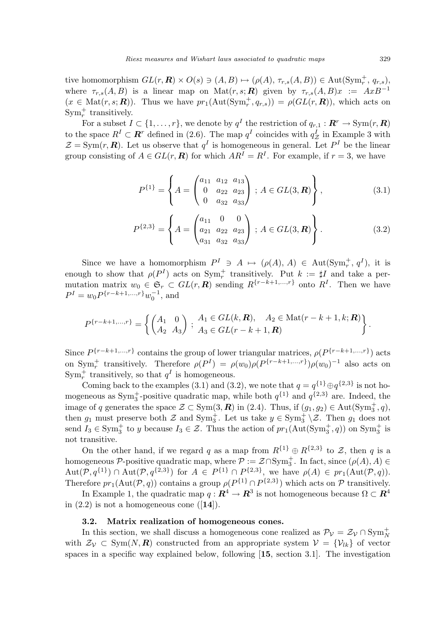tive homomorphism  $GL(r, \mathbf{R}) \times O(s) \ni (A, B) \mapsto (\rho(A), \tau_{r,s}(A, B)) \in \text{Aut}(\text{Sym}^+_r, q_{r,s}),$ where  $\tau_{r,s}(A, B)$  is a linear map on Mat $(r, s; R)$  given by  $\tau_{r,s}(A, B)x := AxB^{-1}$  $(x \in Mat(r, s; \mathbf{R}))$ . Thus we have  $pr_1(\text{Aut}(\text{Sym}_r^+, q_{r,s})) = \rho(GL(r, \mathbf{R}))$ , which acts on Sym<sup>+</sup><sub>r</sub> transitively.

For a subset  $I \subset \{1, \ldots, r\}$ , we denote by  $q^I$  the restriction of  $q_{r,1}: \mathbf{R}^r \to \text{Sym}(r, \mathbf{R})$ to the space  $R^I \subset \mathbb{R}^r$  defined in (2.6). The map  $q^I$  coincides with  $q^I_{\mathcal{Z}}$  in Example 3 with  $\mathcal{Z} = \text{Sym}(r, \mathbf{R})$ . Let us observe that  $q^I$  is homogeneous in general. Let  $P^I$  be the linear group consisting of  $A \in GL(r, \mathbb{R})$  for which  $AR^I = R^I$ . For example, if  $r = 3$ , we have

$$
P^{\{1\}} = \left\{ A = \begin{pmatrix} a_{11} & a_{12} & a_{13} \\ 0 & a_{22} & a_{23} \\ 0 & a_{32} & a_{33} \end{pmatrix} \, ; \, A \in GL(3, \mathbb{R}) \right\},\tag{3.1}
$$

$$
P^{\{2,3\}} = \left\{ A = \begin{pmatrix} a_{11} & 0 & 0 \\ a_{21} & a_{22} & a_{23} \\ a_{31} & a_{32} & a_{33} \end{pmatrix} \, ; \, A \in GL(3, \mathbb{R}) \right\}.
$$
 (3.2)

Since we have a homomorphism  $P^I \ni A \mapsto (\rho(A), A) \in \text{Aut}(\text{Sym}_r^+, q^I)$ , it is enough to show that  $\rho(P^I)$  acts on  $Sym_r^+$  transitively. Put  $k := \sharp I$  and take a permutation matrix  $w_0 \in \mathfrak{S}_r \subset GL(r, \mathbb{R})$  sending  $R^{\{r-k+1,\dots,r\}}$  onto  $R^I$ . Then we have  $P^{I} = w_0 P^{r-k+1,\ldots,r} w_0^{-1}$ , and

$$
P^{\{r-k+1,\dots,r\}} = \left\{ \begin{pmatrix} A_1 & 0 \\ A_2 & A_3 \end{pmatrix} ; \begin{array}{l} A_1 \in GL(k,\mathbf{R}), \quad A_2 \in \text{Mat}(r-k+1,k;\mathbf{R}) \\ A_3 \in GL(r-k+1,\mathbf{R}) \end{array} \right\}.
$$

Since  $P^{\{r-k+1,\ldots,r\}}$  contains the group of lower triangular matrices,  $\rho(P^{\{r-k+1,\ldots,r\}})$  acts on Sym<sup>+</sup> transitively. Therefore  $\rho(P^I) = \rho(w_0)\rho(P^{\{r-k+1,\ldots,r\}})\rho(w_0)^{-1}$  also acts on  $\text{Sym}_r^+$  transitively, so that  $q^I$  is homogeneous.

Coming back to the examples (3.1) and (3.2), we note that  $q = q^{\{1\}} \oplus q^{\{2,3\}}$  is not homogeneous as  $\text{Sym}_3^+$ -positive quadratic map, while both  $q^{\{1\}}$  and  $q^{\{2,3\}}$  are. Indeed, the image of q generates the space  $\mathcal{Z} \subset \text{Sym}(3,\mathbf{R})$  in (2.4). Thus, if  $(g_1, g_2) \in \text{Aut}(\text{Sym}_3^+, q)$ , then  $g_1$  must preserve both  $\mathcal Z$  and  $\text{Sym}_3^+$ . Let us take  $y \in \text{Sym}_3^+ \setminus \mathcal Z$ . Then  $g_1$  does not send  $I_3 \in \text{Sym}_3^+$  to y because  $I_3 \in \mathcal{Z}$ . Thus the action of  $pr_1(\text{Aut}(\text{Sym}_3^+, q))$  on  $\text{Sym}_3^+$  is not transitive.

On the other hand, if we regard q as a map from  $R^{\{1\}} \oplus R^{\{2,3\}}$  to  $\mathcal{Z}$ , then q is a homogeneous  $\mathcal{P}$ -positive quadratic map, where  $\mathcal{P} := \mathcal{Z} \cap Sym_3^+$ . In fact, since  $(\rho(A), A) \in$  $\text{Aut}(\mathcal{P}, q^{\{1\}}) \cap \text{Aut}(\mathcal{P}, q^{\{2,3\}})$  for  $A \in P^{\{1\}} \cap P^{\{2,3\}}$ , we have  $\rho(A) \in pr_1(\text{Aut}(\mathcal{P}, q)).$ Therefore  $pr_1(\text{Aut}(\mathcal{P}, q))$  contains a group  $\rho(P^{\{1\}} \cap P^{\{2,3\}})$  which acts on  $\mathcal P$  transitively.

In Example 1, the quadratic map  $q: \mathbb{R}^4 \to \mathbb{R}^3$  is not homogeneous because  $\Omega \subset \mathbb{R}^4$ in  $(2.2)$  is not a homogeneous cone  $([14])$ .

### 3.2. Matrix realization of homogeneous cones.

In this section, we shall discuss a homogeneous cone realized as  $\mathcal{P}_{\mathcal{V}} = \mathcal{Z}_{\mathcal{V}} \cap \text{Sym}_{N}^{+}$ with  $\mathcal{Z}_{\mathcal{V}} \subset \text{Sym}(N, \mathbf{R})$  constructed from an appropriate system  $\mathcal{V} = \{V_{lk}\}\$  of vector spaces in a specific way explained below, following  $[15, \text{ section } 3.1]$ . The investigation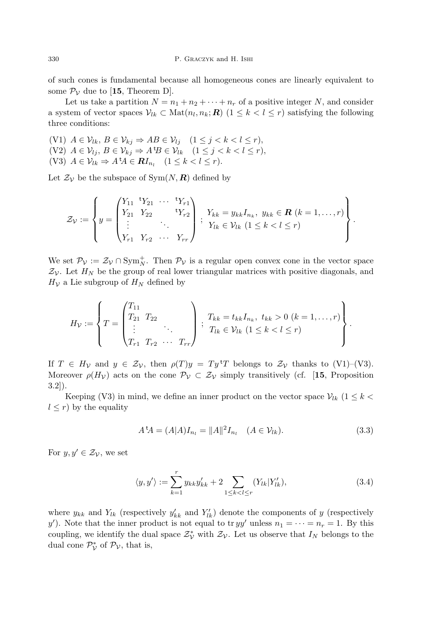of such cones is fundamental because all homogeneous cones are linearly equivalent to some  $\mathcal{P}_{\mathcal{V}}$  due to [15, Theorem D].

Let us take a partition  $N = n_1 + n_2 + \cdots + n_r$  of a positive integer N, and consider a system of vector spaces  $V_{lk} \subset \text{Mat}(n_l, n_k; \mathbf{R})$   $(1 \leq k < l \leq r)$  satisfying the following three conditions:

(V1)  $A \in \mathcal{V}_{lk}, B \in \mathcal{V}_{kj} \Rightarrow AB \in \mathcal{V}_{lj}$   $(1 \leq j < k < l \leq r),$ (V2)  $A \in \mathcal{V}_{lj}, B \in \mathcal{V}_{kj} \Rightarrow A^t B \in \mathcal{V}_{lk}$   $(1 \leq j < k < l \leq r),$ (V3)  $A \in \mathcal{V}_{lk} \Rightarrow A^t A \in \mathbf{R} I_{n_l} \quad (1 \leq k < l \leq r).$ 

Let  $\mathcal{Z}_{\mathcal{V}}$  be the subspace of Sym $(N, \mathbf{R})$  defined by

$$
\mathcal{Z}_{\mathcal{V}} := \left\{ y = \begin{pmatrix} Y_{11} & ^{\mathrm{t}} Y_{21} & \cdots & ^{\mathrm{t}} Y_{r1} \\ Y_{21} & Y_{22} & ^{\mathrm{t}} Y_{r2} \\ \vdots & & \ddots & \\ Y_{r1} & Y_{r2} & \cdots & Y_{rr} \end{pmatrix} \; ; \; \begin{aligned} Y_{kk} &= y_{kk} I_{n_k}, \; y_{kk} \in \mathbf{R} \; (k = 1, \ldots, r) \\ Y_{lk} &\in \mathcal{V}_{lk} \; (1 \leq k < l \leq r) \end{aligned} \right\}.
$$

We set  $\mathcal{P}_{\mathcal{V}} := \mathcal{Z}_{\mathcal{V}} \cap \text{Sym}_{N}^{+}$ . Then  $\mathcal{P}_{\mathcal{V}}$  is a regular open convex cone in the vector space  $\mathcal{Z}_{\mathcal{V}}$ . Let  $H_N$  be the group of real lower triangular matrices with positive diagonals, and  $H_V$  a Lie subgroup of  $H_N$  defined by

$$
H_{\mathcal{V}} := \left\{ T = \begin{pmatrix} T_{11} & & & \\ T_{21} & T_{22} & & \\ \vdots & & \ddots & \\ T_{r1} & T_{r2} & \cdots & T_{rr} \end{pmatrix} \, ; \, T_{kk} = t_{kk} I_{n_k}, \, t_{kk} > 0 \, (k = 1, \ldots, r) \right\}.
$$

If  $T \in H_V$  and  $y \in \mathcal{Z}_V$ , then  $\rho(T)y = Ty^T T$  belongs to  $\mathcal{Z}_V$  thanks to (V1)–(V3). Moreover  $\rho(H_v)$  acts on the cone  $\mathcal{P}_v \subset \mathcal{Z}_v$  simply transitively (cf. [15, Proposition 3.2]).

Keeping (V3) in mind, we define an inner product on the vector space  $V_{lk}$  (1  $\leq k$  <  $l \leq r$ ) by the equality

$$
A^{\dagger}A = (A|A)I_{n_l} = ||A||^2 I_{n_l} \quad (A \in \mathcal{V}_{lk}).
$$
\n(3.3)

For  $y, y' \in \mathcal{Z}_{\mathcal{V}}$ , we set

$$
\langle y, y' \rangle := \sum_{k=1}^{r} y_{kk} y'_{kk} + 2 \sum_{1 \le k < l \le r} (Y_{lk} | Y'_{lk}), \tag{3.4}
$$

where  $y_{kk}$  and  $Y_{lk}$  (respectively  $y'_{kk}$  and  $Y'_{lk}$ ) denote the components of y (respectively y'). Note that the inner product is not equal to tr  $yy'$  unless  $n_1 = \cdots = n_r = 1$ . By this coupling, we identify the dual space  $\mathcal{Z}_{\mathcal{V}}^*$  with  $\mathcal{Z}_{\mathcal{V}}$ . Let us observe that  $I_N$  belongs to the dual cone  $\mathcal{P}_{\mathcal{V}}^*$  of  $\mathcal{P}_{\mathcal{V}}$ , that is,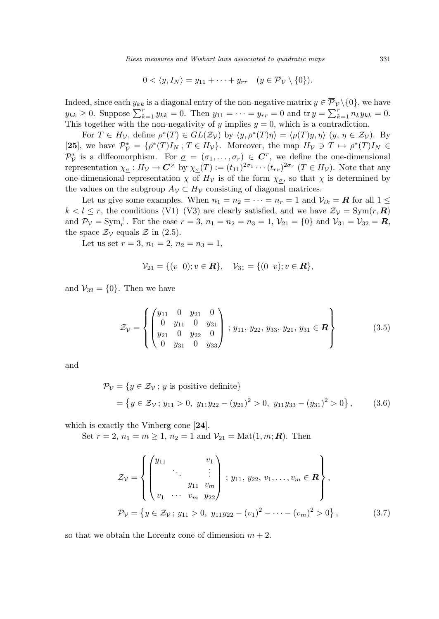Riesz measures and Wishart laws associated to quadratic maps 331

$$
0 < \langle y, I_N \rangle = y_{11} + \dots + y_{rr} \quad (y \in \overline{\mathcal{P}}_{\mathcal{V}} \setminus \{0\}).
$$

Indeed, since each  $y_{kk}$  is a diagonal entry of the non-negative matrix  $y \in \overline{\mathcal{P}}_{\mathcal{V}}\setminus\{0\}$ , we have  $y_{kk} \ge 0$ . Suppose  $\sum_{k=1}^{r} y_{kk} = 0$ . Then  $y_{11} = \cdots = y_{rr} = 0$  and tr  $y = \sum_{k=1}^{r} n_k y_{kk} = 0$ . This together with the non-negativity of y implies  $y = 0$ , which is a contradiction.

For  $T \in H_V$ , define  $\rho^*(T) \in GL(\mathcal{Z}_V)$  by  $\langle y, \rho^*(T)\eta \rangle = \langle \rho(T)y, \eta \rangle$   $(y, \eta \in \mathcal{Z}_V)$ . By [25], we have  $\mathcal{P}_{\mathcal{V}}^* = \{\rho^*(T)I_N : T \in H_{\mathcal{V}}\}\$ . Moreover, the map  $H_{\mathcal{V}} \ni T \mapsto \rho^*(T)I_N \in$  $\mathcal{P}_{\mathcal{V}}^*$  is a diffeomorphism. For  $\underline{\sigma} = (\sigma_1, \ldots, \sigma_r) \in \mathbb{C}^r$ , we define the one-dimensional representation  $\chi_{\underline{\sigma}} : H_V \to \mathbb{C}^\times$  by  $\chi_{\underline{\sigma}}(T) := (t_{11})^{2\sigma_1} \cdots (t_{rr})^{2\sigma_r}$   $(T \in H_V)$ . Note that any one-dimensional representation  $\chi$  of  $H_{\mathcal{V}}$  is of the form  $\chi_{\sigma}$ , so that  $\chi$  is determined by the values on the subgroup  $A_{\mathcal{V}} \subset H_{\mathcal{V}}$  consisting of diagonal matrices.

Let us give some examples. When  $n_1 = n_2 = \cdots = n_r = 1$  and  $\mathcal{V}_{lk} = \mathbf{R}$  for all  $1 \leq$  $k < l \le r$ , the conditions (V1)–(V3) are clearly satisfied, and we have  $\mathcal{Z}_{\mathcal{V}} = \text{Sym}(r, \mathbb{R})$ and  $P_{\mathcal{V}} = \text{Sym}_r^+$ . For the case  $r = 3$ ,  $n_1 = n_2 = n_3 = 1$ ,  $\mathcal{V}_{21} = \{0\}$  and  $\mathcal{V}_{31} = \mathcal{V}_{32} = \mathbb{R}$ , the space  $\mathcal{Z}_{\mathcal{V}}$  equals  $\mathcal{Z}$  in (2.5).

Let us set  $r = 3$ ,  $n_1 = 2$ ,  $n_2 = n_3 = 1$ ,

$$
\mathcal{V}_{21} = \{ (v \ 0); v \in \mathbf{R} \}, \quad \mathcal{V}_{31} = \{ (0 \ v); v \in \mathbf{R} \},
$$

and  $V_{32} = \{0\}$ . Then we have

$$
\mathcal{Z}_{\mathcal{V}} = \left\{ \begin{pmatrix} y_{11} & 0 & y_{21} & 0 \\ 0 & y_{11} & 0 & y_{31} \\ y_{21} & 0 & y_{22} & 0 \\ 0 & y_{31} & 0 & y_{33} \end{pmatrix} ; y_{11}, y_{22}, y_{33}, y_{21}, y_{31} \in \mathbf{R} \right\}
$$
(3.5)

and

$$
\mathcal{P}_{\mathcal{V}} = \{ y \in \mathcal{Z}_{\mathcal{V}}; y \text{ is positive definite} \}
$$
  
=  $\{ y \in \mathcal{Z}_{\mathcal{V}}; y_{11} > 0, y_{11}y_{22} - (y_{21})^2 > 0, y_{11}y_{33} - (y_{31})^2 > 0 \},$  (3.6)

which is exactly the Vinberg cone [24].

Set  $r = 2$ ,  $n_1 = m \ge 1$ ,  $n_2 = 1$  and  $\mathcal{V}_{21} = Mat(1, m; \mathbb{R})$ . Then

$$
\mathcal{Z}_{\mathcal{V}} = \left\{ \begin{pmatrix} y_{11} & v_1 \\ \vdots & \vdots \\ v_1 & \cdots & v_m \end{pmatrix} ; y_{11}, y_{22}, v_1, \ldots, v_m \in \mathbf{R} \right\},
$$
\n
$$
\mathcal{P}_{\mathcal{V}} = \left\{ y \in \mathcal{Z}_{\mathcal{V}}; y_{11} > 0, y_{11} y_{22} - (v_1)^2 - \cdots - (v_m)^2 > 0 \right\}, \tag{3.7}
$$

so that we obtain the Lorentz cone of dimension  $m + 2$ .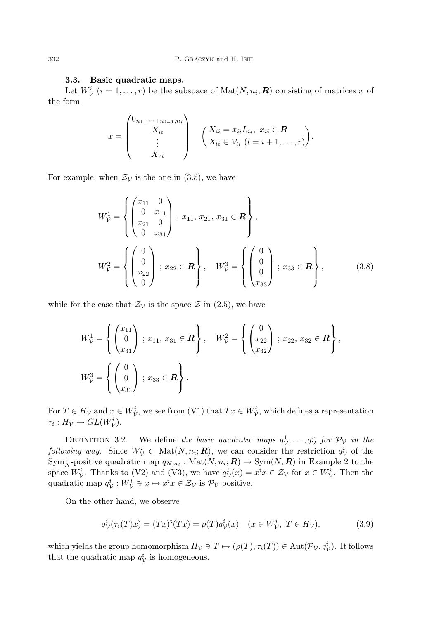### 3.3. Basic quadratic maps.

Let  $W^i_{\mathcal{V}}$   $(i = 1, ..., r)$  be the subspace of  $\text{Mat}(N, n_i; \mathbb{R})$  consisting of matrices x of the form

$$
x = \begin{pmatrix} 0_{n_1 + \dots + n_{i-1}, n_i} \\ X_{ii} \\ \vdots \\ X_{ri} \end{pmatrix} \quad \left( \begin{matrix} X_{ii} = x_{ii} I_{n_i}, \ x_{ii} \in \mathbf{R} \\ X_{ii} \in \mathcal{V}_{ii} \ (l = i + 1, \dots, r) \end{matrix} \right).
$$

For example, when  $\mathcal{Z}_{\mathcal{V}}$  is the one in (3.5), we have

$$
W_{\mathcal{V}}^1 = \left\{ \begin{pmatrix} x_{11} & 0 \\ 0 & x_{11} \\ x_{21} & 0 \\ 0 & x_{31} \end{pmatrix} ; x_{11}, x_{21}, x_{31} \in \mathbb{R} \right\},
$$
  
\n
$$
W_{\mathcal{V}}^2 = \left\{ \begin{pmatrix} 0 \\ 0 \\ x_{22} \\ 0 \end{pmatrix} ; x_{22} \in \mathbb{R} \right\}, \quad W_{\mathcal{V}}^3 = \left\{ \begin{pmatrix} 0 \\ 0 \\ 0 \\ x_{33} \end{pmatrix} ; x_{33} \in \mathbb{R} \right\},
$$
(3.8)

while for the case that  $\mathcal{Z}_{\mathcal{V}}$  is the space  $\mathcal{Z}$  in (2.5), we have

$$
W_{\mathcal{V}}^1 = \left\{ \begin{pmatrix} x_{11} \\ 0 \\ x_{31} \end{pmatrix} : x_{11}, x_{31} \in \mathbf{R} \right\}, \quad W_{\mathcal{V}}^2 = \left\{ \begin{pmatrix} 0 \\ x_{22} \\ x_{32} \end{pmatrix} : x_{22}, x_{32} \in \mathbf{R} \right\},
$$
  

$$
W_{\mathcal{V}}^3 = \left\{ \begin{pmatrix} 0 \\ 0 \\ x_{33} \end{pmatrix} : x_{33} \in \mathbf{R} \right\}.
$$

For  $T \in H_V$  and  $x \in W_V^i$ , we see from (V1) that  $Tx \in W_V^i$ , which defines a representation  $\tau_i: H_{\mathcal{V}} \to GL(W_{\mathcal{V}}^i).$ 

DEFINITION 3.2. We define the basic quadratic maps  $q_V^1, \ldots, q_V^r$  for  $\mathcal{P}_V$  in the following way. Since  $W^i_{\mathcal{V}} \subset \text{Mat}(N, n_i; \mathbf{R})$ , we can consider the restriction  $q_{\mathcal{V}}^i$  of the  $\text{Sym}_{N}^{+}$ -positive quadratic map  $q_{N,n_i}: \text{Mat}(N,n_i;\mathbf{R}) \to \text{Sym}(N,\mathbf{R})$  in Example 2 to the space  $W^i_{\mathcal{V}}$ . Thanks to (V2) and (V3), we have  $q^i_{\mathcal{V}}(x) = x^{\mathsf{t}} x \in \mathcal{Z}_{\mathcal{V}}$  for  $x \in W^i_{\mathcal{V}}$ . Then the quadratic map  $q_V^i : W_V^i \ni x \mapsto x^{\mathsf{t}} x \in \mathcal{Z}_V$  is  $\mathcal{P}_V$ -positive.

On the other hand, we observe

$$
q_{\mathcal{V}}^{i}(\tau_{i}(T)x) = (Tx)^{t}(Tx) = \rho(T)q_{\mathcal{V}}^{i}(x) \quad (x \in W_{\mathcal{V}}^{i}, T \in H_{\mathcal{V}}),
$$
\n(3.9)

which yields the group homomorphism  $H_V \ni T \mapsto (\rho(T), \tau_i(T)) \in \text{Aut}(\mathcal{P}_V, q_V^i)$ . It follows that the quadratic map  $q_V^i$  is homogeneous.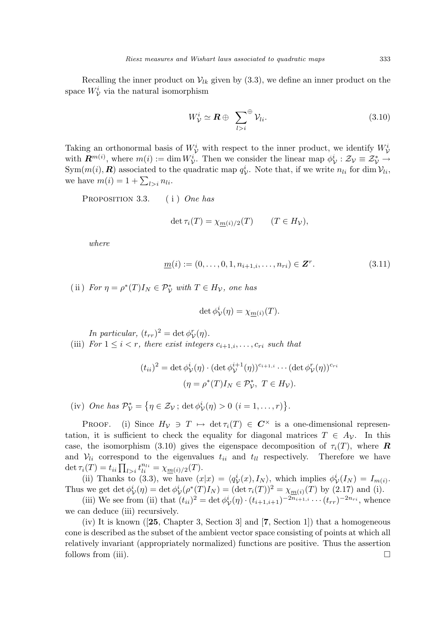Recalling the inner product on  $V_{lk}$  given by (3.3), we define an inner product on the space  $W^i_{\mathcal{V}}$  via the natural isomorphism

$$
W_{\mathcal{V}}^i \simeq \boldsymbol{R} \oplus \sum_{l>i}^{\oplus} \mathcal{V}_{li}.
$$
 (3.10)

Taking an orthonormal basis of  $W^i_{\mathcal{V}}$  with respect to the inner product, we identify  $W^i_{\mathcal{V}}$ with  $\mathbf{R}^{m(i)}$ , where  $m(i) := \dim W_{\mathcal{V}}^i$ . Then we consider the linear map  $\phi_{\mathcal{V}}^i : \mathcal{Z}_{\mathcal{V}} \equiv \mathcal{Z}_{\mathcal{V}}^* \to$  $\text{Sym}(m(i), \mathbf{R})$  associated to the quadratic map  $q_V^i$ . Note that, if we write  $n_{li}$  for dim  $\mathcal{V}_{li}$ ,  $\lim_{i \to \infty} m(i) = 1 + \sum_{l>i} n_{li}.$ 

PROPOSITION 3.3. (i) One has

$$
\det \tau_i(T) = \chi_{\underline{m}(i)/2}(T) \qquad (T \in H_{\mathcal{V}}),
$$

where

$$
\underline{m}(i) := (0, \dots, 0, 1, n_{i+1,i}, \dots, n_{ri}) \in \mathbf{Z}^r.
$$
\n(3.11)

(ii) For  $\eta = \rho^*(T)I_N \in \mathcal{P}_\mathcal{V}^*$  with  $T \in H_\mathcal{V}$ , one has

$$
\det \phi^i_{\mathcal{V}}(\eta) = \chi_{\underline{m}(i)}(T).
$$

In particular,  $(t_{rr})^2 = \det \phi_{\mathcal{V}}^r(\eta)$ . (iii) For  $1 \leq i < r$ , there exist integers  $c_{i+1,i}, \ldots, c_{ri}$  such that

$$
(t_{ii})^2 = \det \phi_V^i(\eta) \cdot (\det \phi_V^{i+1}(\eta))^{c_{i+1,i}} \cdots (\det \phi_V^r(\eta))^{c_{ri}}
$$

$$
(\eta = \rho^*(T)I_N \in \mathcal{P}_V^*, \ T \in H_V).
$$

(iv) One has  $\mathcal{P}_{\mathcal{V}}^* =$ ©  $\eta \in \mathcal{Z}_{\mathcal{V}}$ ; det  $\phi_{\mathcal{V}}^{i}(\eta) > 0$   $(i = 1, \ldots, r)$ ª .

PROOF. (i) Since  $H_{\mathcal{V}} \ni T \mapsto \det \tau_i(T) \in C^{\times}$  is a one-dimensional representation, it is sufficient to check the equality for diagonal matrices  $T \in A_{\mathcal{V}}$ . In this case, the isomorphism (3.10) gives the eigenspace decomposition of  $\tau_i(T)$ , where **R** and  $V_{li}$  correspond to the eigenvalues  $t_{ii}$  and  $t_{ll}$  respectively. Therefore we have and  $\nu_{li}$  correspond to the eigenvalue of  $\tau_i(T) = t_{ii} \prod_{l>i} t_{li}^{n_{li}} = \chi_{\underline{m}(i)/2}(T)$ .

(ii) Thanks to (3.3), we have  $(x|x) = \langle q_V^i(x), I_N \rangle$ , which implies  $\phi_V^i(I_N) = I_{m(i)}$ . Thus we get det  $\phi^i_{\mathcal{V}}(\eta) = \det \phi^i_{\mathcal{V}}(\rho^*(T)I_N) = (\det \tau_i(T))^2 = \chi_{\underline{m}(i)}(T)$  by (2.17) and (i).

(iii) We see from (ii) that  $(t_{ii})^2 = \det \phi^i_{\mathcal{V}}(\eta) \cdot (t_{i+1,i+1})^{-2n_{i+1,i}} \cdots (t_{rr})^{-2n_{ri}},$  whence we can deduce (iii) recursively.

(iv) It is known ( $[25, Chapter 3, Section 3]$  and  $[7, Section 1]$ ) that a homogeneous cone is described as the subset of the ambient vector space consisting of points at which all relatively invariant (appropriately normalized) functions are positive. Thus the assertion follows from (iii).  $\Box$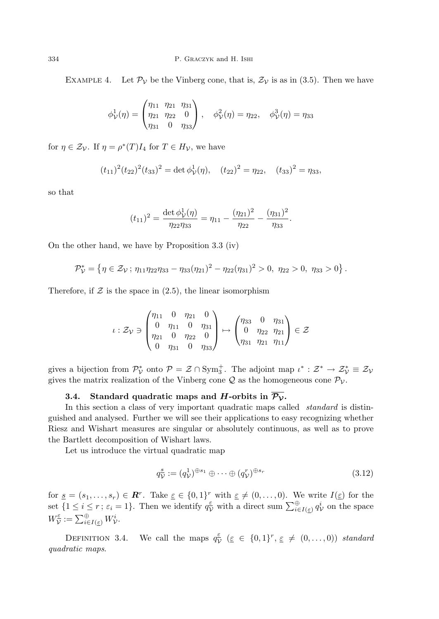EXAMPLE 4. Let  $\mathcal{P}_{\mathcal{V}}$  be the Vinberg cone, that is,  $\mathcal{Z}_{\mathcal{V}}$  is as in (3.5). Then we have

$$
\phi_{\mathcal{V}}^1(\eta) = \begin{pmatrix} \eta_{11} & \eta_{21} & \eta_{31} \\ \eta_{21} & \eta_{22} & 0 \\ \eta_{31} & 0 & \eta_{33} \end{pmatrix}, \quad \phi_{\mathcal{V}}^2(\eta) = \eta_{22}, \quad \phi_{\mathcal{V}}^3(\eta) = \eta_{33}
$$

for  $\eta \in \mathcal{Z}_{\mathcal{V}}$ . If  $\eta = \rho^*(T)I_4$  for  $T \in H_{\mathcal{V}}$ , we have

$$
(t_{11})^2 (t_{22})^2 (t_{33})^2 = \det \phi^1_{\mathcal{V}}(\eta), \quad (t_{22})^2 = \eta_{22}, \quad (t_{33})^2 = \eta_{33},
$$

so that

$$
(t_{11})^2 = \frac{\det \phi_{\mathcal{V}}^1(\eta)}{\eta_{22}\eta_{33}} = \eta_{11} - \frac{(\eta_{21})^2}{\eta_{22}} - \frac{(\eta_{31})^2}{\eta_{33}}.
$$

On the other hand, we have by Proposition 3.3 (iv)

$$
\mathcal{P}_{\mathcal{V}}^* = \left\{ \eta \in \mathcal{Z}_{\mathcal{V}} \, ; \, \eta_{11} \eta_{22} \eta_{33} - \eta_{33} (\eta_{21})^2 - \eta_{22} (\eta_{31})^2 > 0, \, \eta_{22} > 0, \, \eta_{33} > 0 \right\}.
$$

Therefore, if  $\mathcal Z$  is the space in (2.5), the linear isomorphism

$$
\iota: \mathcal{Z}_{\mathcal{V}} \ni \begin{pmatrix} \eta_{11} & 0 & \eta_{21} & 0 \\ 0 & \eta_{11} & 0 & \eta_{31} \\ \eta_{21} & 0 & \eta_{22} & 0 \\ 0 & \eta_{31} & 0 & \eta_{33} \end{pmatrix} \mapsto \begin{pmatrix} \eta_{33} & 0 & \eta_{31} \\ 0 & \eta_{22} & \eta_{21} \\ \eta_{31} & \eta_{21} & \eta_{11} \end{pmatrix} \in \mathcal{Z}
$$

gives a bijection from  $\mathcal{P}_{\mathcal{V}}^*$  onto  $\mathcal{P} = \mathcal{Z} \cap \text{Sym}_3^+$ . The adjoint map  $\iota^* : \mathcal{Z}^* \to \mathcal{Z}_{\mathcal{V}}^* \equiv \mathcal{Z}_{\mathcal{V}}$ gives the matrix realization of the Vinberg cone  $\mathcal Q$  as the homogeneous cone  $\mathcal P_{\mathcal V}$ .

## 3.4. Standard quadratic maps and H-orbits in  $\overline{\mathcal{P}_{\mathcal{V}}}$ .

In this section a class of very important quadratic maps called *standard* is distinguished and analysed. Further we will see their applications to easy recognizing whether Riesz and Wishart measures are singular or absolutely continuous, as well as to prove the Bartlett decomposition of Wishart laws.

Let us introduce the virtual quadratic map

$$
q_{\mathcal{V}}^s := (q_{\mathcal{V}}^1)^{\oplus s_1} \oplus \cdots \oplus (q_{\mathcal{V}}^r)^{\oplus s_r} \tag{3.12}
$$

for  $\underline{s} = (s_1, \ldots, s_r) \in \mathbb{R}^r$ . Take  $\underline{\varepsilon} \in \{0,1\}^r$  with  $\underline{\varepsilon} \neq (0, \ldots, 0)$ . We write  $I(\underline{\varepsilon})$  for the set  $\{1 \le i \le r; \varepsilon_i = 1\}$ . Then we identify  $q_{\tilde{\nu}}^{\tilde{\nu}}$  with a direct sum  $\sum_{i \in I(\varepsilon)}^{\infty} q_{\nu}^{i}$  on the space  $W^{\varepsilon}_{\mathcal{V}}$  $\overline{\widetilde{\nu}}:=\sum_{i\in I(\varepsilon)}^\oplus W^i_{\mathcal{V}}.$ 

DEFINITION 3.4. We call the maps  $q_{\lambda}^{\epsilon}$  $\frac{\varepsilon}{\mathcal{V}}$   $(\varepsilon \in \{0,1\}^r, \varepsilon \neq (0,\ldots,0))$  standard quadratic maps.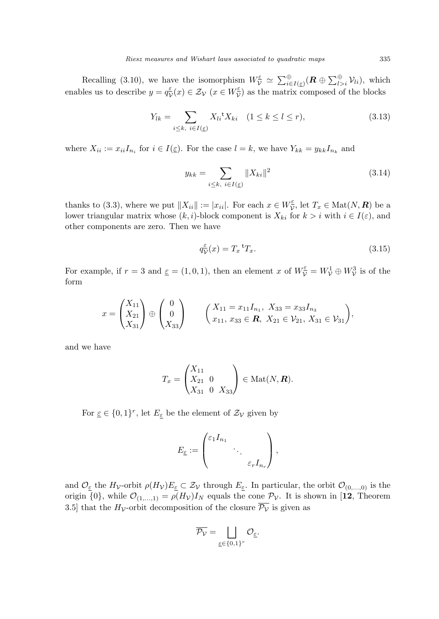Recalling (3.10), we have the isomorphism  $W_{\mathcal{V}}^{\epsilon} \simeq \sum_{i \in I(\epsilon)}^{\oplus} (\mathbf{R} \oplus \sum_{l>i}^{\oplus} \mathcal{V}_{li})$ , which enables us to describe  $y = q_{\lambda}^{\varepsilon}$  $\frac{\varepsilon}{\mathcal{V}}(x) \in \mathcal{Z}_{\mathcal{V}} \ (x \in W_{\mathcal{V}}^{\underline{\varepsilon}})$  $\frac{\varepsilon}{\mathcal{V}}$  as the matrix composed of the blocks

$$
Y_{lk} = \sum_{i \le k, \ i \in I(\underline{\varepsilon})} X_{li} {}^{\mathsf{t}} X_{ki} \quad (1 \le k \le l \le r), \tag{3.13}
$$

where  $X_{ii} := x_{ii} I_{n_i}$  for  $i \in I(\underline{\varepsilon})$ . For the case  $l = k$ , we have  $Y_{kk} = y_{kk} I_{n_k}$  and

$$
y_{kk} = \sum_{i \le k, \ i \in I(\underline{\varepsilon})} \|X_{ki}\|^2
$$
 (3.14)

thanks to (3.3), where we put  $||X_{ii}|| := |x_{ii}|$ . For each  $x \in W^{\varepsilon}_{\mathcal{V}}$  $\overline{\mathcal{V}}$ , let  $T_x \in \text{Mat}(N, \mathbb{R})$  be a lower triangular matrix whose  $(k, i)$ -block component is  $X_{ki}$  for  $k > i$  with  $i \in I(\varepsilon)$ , and other components are zero. Then we have

$$
q_{\mathcal{V}}^{\varepsilon}(x) = T_x^{\ \mathsf{t}} T_x. \tag{3.15}
$$

For example, if  $r = 3$  and  $\varepsilon = (1, 0, 1)$ , then an element x of  $W_{\mathcal{V}}^{\varepsilon} = W_{\mathcal{V}}^1 \oplus W_{\mathcal{V}}^3$  is of the form

$$
x = \begin{pmatrix} X_{11} \\ X_{21} \\ X_{31} \end{pmatrix} \oplus \begin{pmatrix} 0 \\ 0 \\ X_{33} \end{pmatrix} \qquad \begin{pmatrix} X_{11} = x_{11}I_{n_1}, \ X_{33} = x_{33}I_{n_3} \\ x_{11}, \ x_{33} \in \mathbb{R}, \ X_{21} \in \mathcal{V}_{21}, \ X_{31} \in \mathcal{V}_{31} \end{pmatrix},
$$

and we have

$$
T_x = \begin{pmatrix} X_{11} & & \\ X_{21} & 0 & \\ X_{31} & 0 & X_{33} \end{pmatrix} \in \text{Mat}(N, \mathbb{R}).
$$

For  $\underline{\varepsilon} \in \{0,1\}^r$ , let  $E_{\underline{\varepsilon}}$  be the element of  $\mathcal{Z}_{\mathcal{V}}$  given by

$$
E_{\underline{\varepsilon}} := \begin{pmatrix} \varepsilon_1 I_{n_1} & & \\ & \ddots & \\ & & \varepsilon_r I_{n_r} \end{pmatrix},
$$

and  $\mathcal{O}_{\underline{\varepsilon}}$  the  $H_{\mathcal{V}}$ -orbit  $\rho(H_{\mathcal{V}})E_{\underline{\varepsilon}} \subset \mathcal{Z}_{\mathcal{V}}$  through  $E_{\underline{\varepsilon}}$ . In particular, the orbit  $\mathcal{O}_{(0,...,0)}$  is the origin  $\{0\}$ , while  $\mathcal{O}_{(1,...,1)} = \rho(H_{\mathcal{V}})I_N$  equals the cone  $\mathcal{P}_{\mathcal{V}}$ . It is shown in [12, Theorem 3.5] that the  $H_V$ -orbit decomposition of the closure  $\overline{\mathcal{P}_V}$  is given as

$$
\overline{\mathcal{P}_{\mathcal{V}}} = \bigsqcup_{\underline{\varepsilon} \in \{0,1\}^r} \mathcal{O}_{\underline{\varepsilon}}.
$$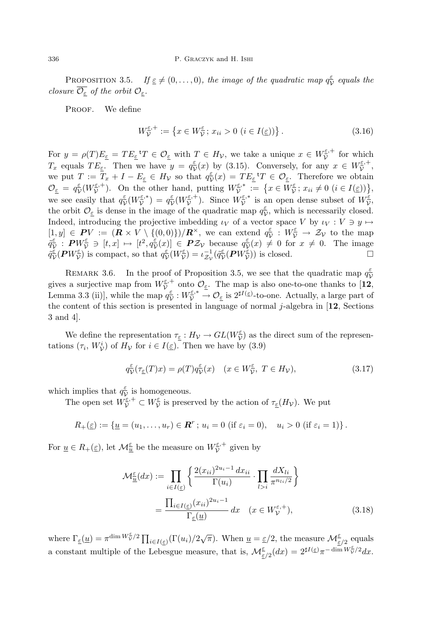PROPOSITION 3.5. If  $\underline{\varepsilon} \neq (0, \ldots, 0)$ , the image of the quadratic map  $q_{\lambda}^{\varepsilon}$  $\frac{\varepsilon}{\mathcal{V}}$  equals the closure  $\overline{\mathcal{O}_{\varepsilon}}$  of the orbit  $\mathcal{O}_{\varepsilon}$ .

PROOF. We define

$$
W_{\mathcal{V}}^{\varepsilon,+} := \left\{ x \in W_{\mathcal{V}}^{\varepsilon}; \, x_{ii} > 0 \, (i \in I(\varepsilon)) \right\}. \tag{3.16}
$$

For  $y = \rho(T)E_{\varepsilon} = TE_{\varepsilon}^T T \in \mathcal{O}_{\varepsilon}$  with  $T \in H_{\mathcal{V}}$ , we take a unique  $x \in W_{\mathcal{V}}^{\varepsilon,+}$  $\tilde{\nu}^{\epsilon,+}$  for which  $T_x$  equals  $TE_{\varepsilon}$ . Then we have  $y = q_{\varepsilon}^{\varepsilon}$  $\frac{\varepsilon}{\mathcal{V}}(x)$  by (3.15). Conversely, for any  $x \in W^{\varepsilon,+}_{\mathcal{V}}$  $\tilde{\tilde{\mathcal{V}}}^{, +},$ we put  $T := \overline{T}_x + I - E_{\varepsilon} \in H_{\mathcal{V}}$  so that  $q_{\mathcal{V}}^{\varepsilon}$  $\frac{\varepsilon}{\mathcal{V}}(x) = TE_{\varepsilon}^{\mathsf{T}} T \in \mathcal{O}_{\varepsilon}$ . Therefore we obtain  $\mathcal{O}_{\underline{\varepsilon}} = q_{\underline{\nu}}^{\underline{\varepsilon}}$  $\frac{\varepsilon}{\mathcal{V}}(W^{\varepsilon,+}_{\mathcal{V}}$  $(\bar{\mathcal{V}}^{\varepsilon,+}_{\mathcal{V}})$ . On the other hand, putting  $W_{\mathcal{V}}^{\varepsilon,*}$  $\overline{v}^{\varepsilon} := \{x \in W^{\varepsilon}_{\mathcal{V}}\}$ FINITION WE ODTAIN we see easily that  $q_{\lambda}^{\varepsilon}$  $\frac{\varepsilon}{\mathcal{V}}(W^{\underline{\varepsilon},*}_{\mathcal{V}}$  $(\overline{\xi},*) = q_{\overline{\nu}}^{\underline{\varepsilon}},$  $\frac{\varepsilon}{\mathcal{V}}(W^{\varepsilon,+}_{\mathcal{V}}$  $(\overline{\mathcal{V}}^{\underline{\varepsilon},+})$ . Since  $W_{\mathcal{V}}^{\underline{\varepsilon},*}$  $\bar{\mathcal{V}}^{\varepsilon,*}$  is an open dense subset of  $W_{\mathcal{V}}^{\varepsilon,*}$  $\tilde{\bar{\check{\nu}}},$ the orbit  $\mathcal{O}_{\varepsilon}$  is dense in the image of the quadratic map  $q_{\varepsilon}^{\varepsilon}$  $\frac{\varepsilon}{\mathcal{V}}$ , which is necessarily closed. Indeed, introducing the projective imbedding  $\iota_V$  of a vector space V by  $\iota_V : V \ni y \mapsto$  $[1, y] \in PV := (\mathbf{R} \times V \setminus \{(0,0)\})/\mathbf{R}^{\times}$ , we can extend  $q_{\mathcal{U}}^{\varepsilon}$  $\frac{\varepsilon}{\mathcal{V}} : W^{\varepsilon}_{\mathcal{V}} \to \mathcal{Z}_{\mathcal{V}}$  to the map  $\tilde{\tilde{q}}^{\varepsilon}_{\overline{\Omega}}$  $\frac{\varepsilon}{\mathcal{V}}\ :\ \boldsymbol{P}W^{\underline{\varepsilon}}_{\boldsymbol{\mathcal{V}}}\ \ni\ [t,x]\ \mapsto\ [t^2,q^{\underline{\varepsilon}}_{\boldsymbol{\mathcal{V}}}$  $\left[\frac{\varepsilon}{\mathcal{V}}(x)\right] \in \mathcal{PZ}_{\mathcal{V}}$  because  $q_{\mathcal{V}}^{\varepsilon}$  $\frac{\varepsilon}{\mathcal{V}}(x) \neq 0$  for  $x \neq 0$ . The image  $\tilde{q}^{\tilde{\varepsilon}}$  $\frac{\varepsilon}{\mathcal{V}}(\boldsymbol{P}W_{{\mathcal{V}}}^{\underline{\varepsilon}}% ,\mathcal{V})=V_{\mathcal{V}}(W_{{\mathcal{V}}}^{\underline{\varepsilon}}% ,\mathcal{V})$  $(\frac{\varepsilon}{\nu})$  is compact, so that  $q_{\nu}^{\frac{\varepsilon}{\varepsilon}}$  $\frac{\varepsilon}{\mathcal{V}}(W_{\mathcal{V}}^{\mathcal{E}}% (\varepsilon\|\cdot\|_{\mathcal{V}}))$  $\tilde{\psi}(\tilde{\theta}_{\nu}) = \iota_{\mathcal{Z}_{\mathcal{V}}}^{-1}(\tilde{\theta}_{\nu})$  $\frac{\varepsilon}{\mathcal{V}}(\boldsymbol{P}W\frac{\varepsilon}{\mathcal{V}})$  $(\frac{\varepsilon}{\mathcal{V}}))$  is closed.

REMARK 3.6. In the proof of Proposition 3.5, we see that the quadratic map  $q_{\lambda}^{\varepsilon}$ V gives a surjective map from  $W_{\mathcal{V}}^{\varepsilon,+}$  $\mathcal{O}_{\varepsilon}$  onto  $\mathcal{O}_{\varepsilon}$ . The map is also one-to-one thanks to [12, Lemma 3.3 (ii), while the map  $q_{\lambda}^{\varepsilon}$  $\frac{\varepsilon}{\mathcal{V}}: W^{\varepsilon,*}_{\mathcal{V}} \to \mathcal{O}_{\varepsilon}$  is  $2^{\sharp I(\varepsilon)}$ -to-one. Actually, a large part of the content of this section is presented in language of normal j-algebra in  $[12]$ , Sections 3 and 4].

We define the representation  $\tau_{\varepsilon}: H_{\mathcal{V}} \to GL(W_{\mathcal{V}}^{\varepsilon})$  $\left(\frac{\varepsilon}{\mathcal{V}}\right)$  as the direct sum of the representations  $(\tau_i, W^i_{\mathcal{V}})$  of  $H_{\mathcal{V}}$  for  $i \in I(\underline{\varepsilon})$ . Then we have by  $(3.9)$ 

$$
q_{\mathcal{V}}^{\varepsilon}(\tau_{\varepsilon}(T)x) = \rho(T)q_{\mathcal{V}}^{\varepsilon}(x) \quad (x \in W_{\mathcal{V}}^{\varepsilon}, \ T \in H_{\mathcal{V}}), \tag{3.17}
$$

which implies that  $q_{\lambda}^{\varepsilon}$  $\frac{\varepsilon}{\mathcal{V}}$  is homogeneous.

The open set  $W_{\mathcal{V}}^{\underline{\varepsilon},+}\subset W_{\mathcal{V}}^{\underline{\varepsilon}}$  $\frac{\varepsilon}{\nu}$  is preserved by the action of  $\tau_{\varepsilon}(H_{\mathcal{V}})$ . We put

$$
R_+(\underline{\varepsilon}) := \{ \underline{u} = (u_1, \ldots, u_r) \in \mathbf{R}^r \, ; \, u_i = 0 \, (\text{if } \varepsilon_i = 0), \quad u_i > 0 \, (\text{if } \varepsilon_i = 1) \} \, .
$$

For  $\underline{u} \in R_+(\underline{\varepsilon})$ , let  $\mathcal{M}_{\underline{u}}^{\underline{\varepsilon}}$  be the measure on  $W_{\mathcal{V}}^{\underline{\varepsilon},+}$  $\bar{\mathcal{V}}^{\varepsilon,+}$  given by

$$
\mathcal{M}_{\underline{u}}^{\underline{\varepsilon}}(dx) := \prod_{i \in I(\underline{\varepsilon})} \left\{ \frac{2(x_{ii})^{2u_i - 1} dx_{ii}}{\Gamma(u_i)} \cdot \prod_{l > i} \frac{dX_{li}}{\pi^{n_{li}/2}} \right\}
$$

$$
= \frac{\prod_{i \in I(\underline{\varepsilon})} (x_{ii})^{2u_i - 1}}{\Gamma_{\underline{\varepsilon}}(\underline{u})} dx \quad (x \in W_{\mathcal{V}}^{\varepsilon,+}), \tag{3.18}
$$

where  $\Gamma_{\underline{\varepsilon}}(\underline{u}) = \pi^{\dim W^{\underline{\varepsilon}}_{{\cal V}}/2} \prod_{i \in I(\underline{\varepsilon})} (\Gamma(u_i)/2\sqrt{\pi}).$  When  $\underline{u} = \underline{\varepsilon}/2$ , the measure  ${\cal M}^{\underline{\varepsilon}}_{\underline{\varepsilon}/2}$  equals a constant multiple of the Lebesgue measure, that is,  $\mathcal{M}_{\varepsilon/2}^{\varepsilon}(dx) = 2^{\sharp I(\varepsilon)}\pi^{-\dim W_{\mathcal{V}}^{\varepsilon}/2}dx$ .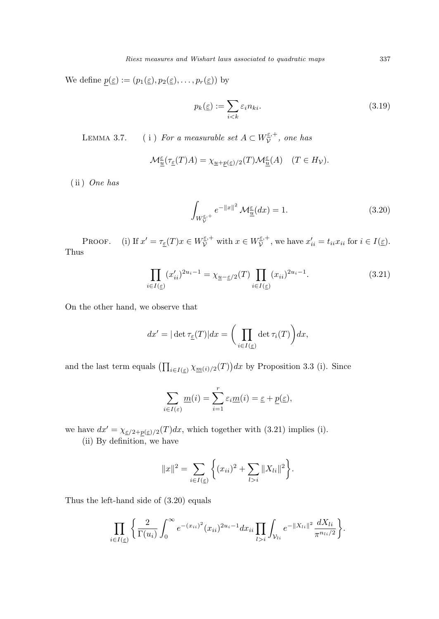We define  $p(\underline{\varepsilon}) := (p_1(\underline{\varepsilon}), p_2(\underline{\varepsilon}), \ldots, p_r(\underline{\varepsilon}))$  by

$$
p_k(\underline{\varepsilon}) := \sum_{i < k} \varepsilon_i n_{ki}.\tag{3.19}
$$

LEMMA 3.7. (i) For a measurable set  $A \subset W^{\epsilon,+}_{\mathcal{V}}$  $\tilde{\tilde{\nu}}^+$ , one has

$$
\mathcal{M}_{\underline{u}}^{\underline{\varepsilon}}(\tau_{\underline{\varepsilon}}(T)A) = \chi_{\underline{u} + \underline{p}(\underline{\varepsilon})/2}(T)\mathcal{M}_{\underline{u}}^{\underline{\varepsilon}}(A) \quad (T \in H_{\mathcal{V}}).
$$

( ii ) One has

$$
\int_{W_{\mathcal{V}}^{\underline{\varepsilon},+}} e^{-\|x\|^2} \mathcal{M}_{\underline{u}}^{\underline{\varepsilon}}(dx) = 1.
$$
\n(3.20)

PROOF. (i) If  $x' = \tau_{\underline{\varepsilon}}(T)x \in W_{\mathcal{V}}^{\underline{\varepsilon},+}$  with  $x \in W_{\mathcal{V}}^{\underline{\varepsilon},+}$  $\mathcal{L}_{\mathcal{V}}^{\varepsilon,+}$ , we have  $x'_{ii} = t_{ii}x_{ii}$  for  $i \in I(\underline{\varepsilon})$ . Thus

$$
\prod_{i \in I(\underline{\varepsilon})} (x'_{ii})^{2u_i - 1} = \chi_{\underline{u} - \underline{\varepsilon}/2}(T) \prod_{i \in I(\underline{\varepsilon})} (x_{ii})^{2u_i - 1}.
$$
\n(3.21)

On the other hand, we observe that

$$
dx' = |\det \tau_{\underline{\varepsilon}}(T)| dx = \bigg(\prod_{i \in I(\underline{\varepsilon})} \det \tau_i(T)\bigg) dx,
$$

and the last term equals  $\left(\prod_{i\in I(\underline{\varepsilon})}\chi_{\underline{m}(i)/2}(T)\right)$ ¢  $dx$  by Proposition 3.3 (i). Since

$$
\sum_{i \in I(\varepsilon)} \underline{m}(i) = \sum_{i=1}^r \varepsilon_i \underline{m}(i) = \underline{\varepsilon} + \underline{p}(\underline{\varepsilon}),
$$

we have  $dx' = \chi_{\epsilon/2+p(\epsilon)/2}(T)dx$ , which together with (3.21) implies (i).

(ii) By definition, we have

$$
||x||^2 = \sum_{i \in I(\underline{\varepsilon})} \left\{ (x_{ii})^2 + \sum_{l > i} ||X_{li}||^2 \right\}.
$$

Thus the left-hand side of (3.20) equals

$$
\prod_{i\in I(\underline{\varepsilon})}\left\{\frac{2}{\Gamma(u_i)}\int_0^\infty e^{-(x_{ii})^2}(x_{ii})^{2u_i-1}dx_{ii}\prod_{l>i}\int_{\mathcal{V}_{li}}e^{-\|X_{li}\|^2}\frac{dX_{li}}{\pi^{n_{li}/2}}\right\}.
$$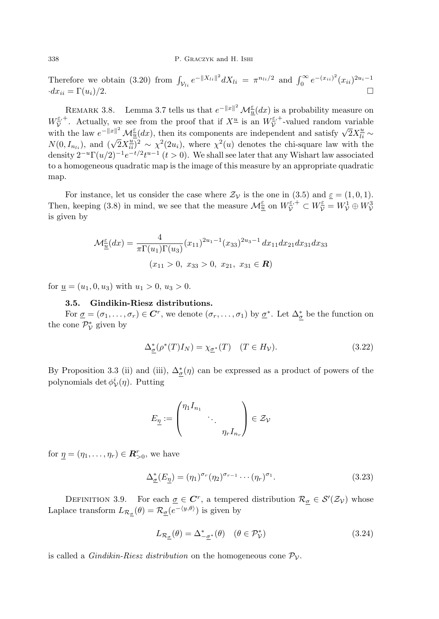Therefore we obtain (3.20) from  $\int_{\mathcal{V}_{li}} e^{-\|X_{li}\|^2} dX_{li} = \pi^{n_{li}/2}$  and  $\int_0^\infty e^{-(x_{ii})^2} (x_{ii})^{2u_i-1}$  $dx_{ii} = \Gamma(u_i)/2.$ 

REMARK 3.8. Lemma 3.7 tells us that  $e^{-\|x\|^2} \mathcal{M}_{\frac{\varepsilon}{u}}(dx)$  is a probability measure on  $W^{\underline{\varepsilon},+}_{\mathcal{V}}$  $\bar{\mathcal{V}}^{\varepsilon,+}$ . Actually, we see from the proof that if  $X^{\underline{u}}$  is an  $W_{\mathcal{V}}^{\varepsilon,+}$  $\bar{\mathcal{V}}^{\varepsilon,+}$ -valued random variable where the law  $e^{-\|x\|^2} \mathcal{M}_{\frac{\epsilon}{2}}^{\epsilon}(dx)$ , then its components are independent and satisfy  $\sqrt{2}X_{\frac{1}{2}}^{\epsilon} \sim$ with the law  $e^{i\theta}$  is  $\mathcal{M}_u(u\mathcal{X})$ , then its components are independent and satisfy  $\sqrt{2} \Lambda_{li}^{i} \sim N(0, I_{ni})$ , and  $(\sqrt{2}X_{ii}^{\underline{u}})^2 \sim \chi^2(2u_i)$ , where  $\chi^2(u)$  denotes the chi-square law with the density  $2^{-u}\Gamma(u/2)^{-1}e^{-t/2}t^{u-1}$   $(t>0)$ . We shall see later that any Wishart law associated to a homogeneous quadratic map is the image of this measure by an appropriate quadratic map.

For instance, let us consider the case where  $\mathcal{Z}_{\mathcal{V}}$  is the one in (3.5) and  $\underline{\varepsilon} = (1, 0, 1)$ . Then, keeping (3.8) in mind, we see that the measure  $\mathcal{M}_{\underline{u}}^{\underline{\varepsilon}}$  on  $W_{\mathcal{V}}^{\underline{\varepsilon},+} \subset W_{\mathcal{V}}^{\underline{\varepsilon}} = W_{\mathcal{V}}^1 \oplus W_{\mathcal{V}}^3$ is given by

$$
\mathcal{M}_{\underline{u}}^{\underline{\epsilon}}(dx) = \frac{4}{\pi \Gamma(u_1) \Gamma(u_3)} (x_{11})^{2u_1 - 1} (x_{33})^{2u_3 - 1} dx_{11} dx_{21} dx_{31} dx_{33}
$$

$$
(x_{11} > 0, x_{33} > 0, x_{21}, x_{31} \in \mathbb{R})
$$

for  $u = (u_1, 0, u_3)$  with  $u_1 > 0, u_3 > 0$ .

## 3.5. Gindikin-Riesz distributions.

For  $\underline{\sigma} = (\sigma_1, \ldots, \sigma_r) \in \mathbb{C}^r$ , we denote  $(\sigma_r, \ldots, \sigma_1)$  by  $\underline{\sigma}^*$ . Let  $\Delta_{\underline{\sigma}}^*$  be the function on the cone  $\mathcal{P}_{\mathcal{V}}^*$  given by

$$
\Delta_{\underline{\sigma}}^*(\rho^*(T)I_N) = \chi_{\underline{\sigma}^*}(T) \quad (T \in H_V). \tag{3.22}
$$

By Proposition 3.3 (ii) and (iii),  $\Delta_{\underline{\sigma}}^*(\eta)$  can be expressed as a product of powers of the polynomials det  $\phi^i_{\mathcal{V}}(\eta)$ . Putting

$$
E_{\underline{\eta}} := \begin{pmatrix} \eta_1 I_{n_1} & & \\ & \ddots & \\ & & \eta_r I_{n_r} \end{pmatrix} \in \mathcal{Z}_{\mathcal{V}}
$$

for  $\underline{\eta} = (\eta_1, \dots, \eta_r) \in \mathbb{R}_{>0}^r$ , we have

$$
\Delta_{\underline{\sigma}}^*(E_{\underline{\eta}}) = (\eta_1)^{\sigma_r} (\eta_2)^{\sigma_{r-1}} \cdots (\eta_r)^{\sigma_1}.
$$
\n(3.23)

DEFINITION 3.9. For each  $\underline{\sigma} \in \mathbb{C}^r$ , a tempered distribution  $\mathcal{R}_{\underline{\sigma}} \in \mathcal{S}'(\mathcal{Z}_{\mathcal{V}})$  whose Laplace transform  $L_{\mathcal{R}_{\underline{\sigma}}}(\theta) = \mathcal{R}_{\underline{\sigma}}(e^{-\langle y,\theta \rangle})$  is given by

$$
L_{\mathcal{R}_{\underline{\sigma}}}(\theta) = \Delta_{-\underline{\sigma}^*}^*(\theta) \quad (\theta \in \mathcal{P}_{\mathcal{V}}^*)
$$
\n(3.24)

is called a *Gindikin-Riesz distribution* on the homogeneous cone  $\mathcal{P}_{\mathcal{V}}$ .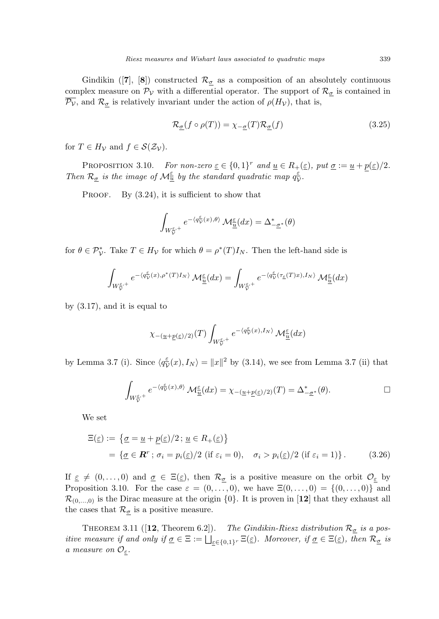Gindikin ([7], [8]) constructed  $\mathcal{R}_{\sigma}$  as a composition of an absolutely continuous complex measure on  $\mathcal{P}_{\mathcal{V}}$  with a differential operator. The support of  $\mathcal{R}_{\underline{\sigma}}$  is contained in  $\overline{\mathcal{P}_V}$ , and  $\mathcal{R}_{\sigma}$  is relatively invariant under the action of  $\rho(H_V)$ , that is,

$$
\mathcal{R}_{\underline{\sigma}}(f \circ \rho(T)) = \chi_{-\underline{\sigma}}(T)\mathcal{R}_{\underline{\sigma}}(f) \tag{3.25}
$$

for  $T \in H_V$  and  $f \in \mathcal{S}(\mathcal{Z}_V)$ .

PROPOSITION 3.10. For non-zero  $\underline{\varepsilon} \in \{0,1\}^r$  and  $\underline{u} \in R_+(\underline{\varepsilon})$ , put  $\underline{\sigma} := \underline{u} + p(\underline{\varepsilon})/2$ . Then  $\mathcal{R}_{\sigma}$  is the image of  $\mathcal{M}_{\underline{u}}^{\underline{\varepsilon}}$  by the standard quadratic map  $q_{\lambda}^{\underline{\varepsilon}}$  $\frac{\varepsilon}{\mathcal{V}}$  .

PROOF. By  $(3.24)$ , it is sufficient to show that

$$
\int_{W_{\mathcal{V}}^{\underline{\varepsilon},+}} e^{-\langle q_{\mathcal{V}}^{\underline{\varepsilon}}(x),\theta\rangle} \mathcal{M}_{\underline{\underline{u}}}^{\underline{\varepsilon}}(dx) = \Delta_{-\underline{\sigma}^*}^*(\theta)
$$

for  $\theta \in \mathcal{P}_{\mathcal{V}}^*$ . Take  $T \in H_{\mathcal{V}}$  for which  $\theta = \rho^*(T)I_N$ . Then the left-hand side is

$$
\int_{W^{\underline{\varepsilon},+}_{\mathcal{V}}} e^{-\langle q_{\mathcal{V}}^{\underline{\varepsilon}}(x), \rho^*(T)I_N \rangle} \, \mathcal{M}^{\underline{\varepsilon}}_{\underline{u}}(dx) = \int_{W^{\underline{\varepsilon},+}_{\mathcal{V}}} e^{-\langle q_{\mathcal{V}}^{\underline{\varepsilon}}(\tau_{\underline{\varepsilon}}(T)x), I_N \rangle} \, \mathcal{M}^{\underline{\varepsilon}}_{\underline{u}}(dx)
$$

by (3.17), and it is equal to

$$
\chi_{-(\underline{u}+\underline{p}(\underline{\varepsilon})/2)}(T)\int_{W_{\mathcal{V}}^{\underline{\varepsilon},+}}e^{-\langle q_{\mathcal{V}}^{\underline{\varepsilon}}(x),I_{N}\rangle}\,\mathcal{M}_{\underline{\underline{u}}}^{\underline{\varepsilon}}(dx)
$$

by Lemma 3.7 (i). Since  $\langle q_{\overline{\lambda}}^{\epsilon} \rangle$  $\frac{\varepsilon}{\mathcal{V}}(x), I_N\rangle = \|x\|^2$  by (3.14), we see from Lemma 3.7 (ii) that

$$
\int_{W^{\underline{\varepsilon},+}_{\mathcal{V}}} e^{-\langle q^{\underline{\varepsilon}}_{\mathcal{V}}(x), \theta \rangle} \mathcal{M}_{\underline{u}}^{\underline{\varepsilon}}(dx) = \chi_{-(\underline{u}+\underline{p}(\underline{\varepsilon})/2)}(T) = \Delta_{-\underline{\sigma}^*}^*(\theta).
$$

We set

$$
\begin{aligned} \Xi(\underline{\varepsilon}) &:= \{ \underline{\sigma} = \underline{u} + \underline{p}(\underline{\varepsilon})/2 \, ; \, \underline{u} \in R_+(\underline{\varepsilon}) \} \\ &= \{ \underline{\sigma} \in \mathbb{R}^r \, ; \, \sigma_i = p_i(\underline{\varepsilon})/2 \, \left( \text{if } \varepsilon_i = 0 \right), \quad \sigma_i > p_i(\underline{\varepsilon})/2 \, \left( \text{if } \varepsilon_i = 1 \right) \} \,. \end{aligned} \tag{3.26}
$$

If  $\epsilon \neq (0, \ldots, 0)$  and  $\sigma \in \Xi(\epsilon)$ , then  $\mathcal{R}_{\sigma}$  is a positive measure on the orbit  $\mathcal{O}_{\epsilon}$  by Proposition 3.10. For the case  $\varepsilon = (0, \ldots, 0)$ , we have  $\Xi(0, \ldots, 0) = \{(0, \ldots, 0)\}\$  and  $\mathcal{R}_{(0,...,0)}$  is the Dirac measure at the origin  $\{0\}$ . It is proven in [12] that they exhaust all the cases that  $\mathcal{R}_{\underline{\sigma}}$  is a positive measure.

THEOREM 3.11 ([12, Theorem 6.2]). The Gindikin-Riesz distribution  $\mathcal{R}_{\sigma}$  is a positive measure if and only if  $\underline{\sigma} \in \Xi := \bigsqcup_{\varepsilon \in \{0,1\}^r} \Xi(\underline{\varepsilon})$ . Moreover, if  $\underline{\sigma} \in \Xi(\underline{\varepsilon})$ , then  $\mathcal{R}_{\underline{\sigma}}$  is a measure on  $\mathcal{O}_{\varepsilon}$ .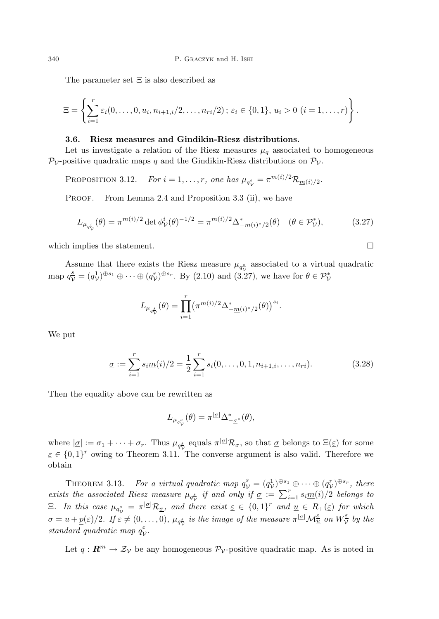The parameter set Ξ is also described as

$$
\Xi = \left\{ \sum_{i=1}^r \varepsilon_i (0, \ldots, 0, u_i, n_{i+1, i}/2, \ldots, n_{ri}/2) \, ; \, \varepsilon_i \in \{0, 1\}, \, u_i > 0 \, (i = 1, \ldots, r) \right\}.
$$

### 3.6. Riesz measures and Gindikin-Riesz distributions.

Let us investigate a relation of the Riesz measures  $\mu_q$  associated to homogeneous  $\mathcal{P}_{\mathcal{V}}$ -positive quadratic maps q and the Gindikin-Riesz distributions on  $\mathcal{P}_{\mathcal{V}}$ .

PROPOSITION 3.12. For  $i = 1, ..., r$ , one has  $\mu_{q_V^i} = \pi^{m(i)/2} \mathcal{R}_{\underline{m}(i)/2}$ .

PROOF. From Lemma 2.4 and Proposition 3.3 (ii), we have

$$
L_{\mu_{q_{\mathcal{V}}^{i}}}(\theta) = \pi^{m(i)/2} \det \phi_{\mathcal{V}}^{i}(\theta)^{-1/2} = \pi^{m(i)/2} \Delta_{-\underline{m}(i)^{*}/2}^{*}(\theta) \quad (\theta \in \mathcal{P}_{\mathcal{V}}^{*}),
$$
(3.27)

which implies the statement.  $\Box$ 

Assume that there exists the Riesz measure  $\mu_{q_{\mathcal{V}}^s}$  associated to a virtual quadratic map  $q_{\mathcal{V}}^s = (q_{\mathcal{V}}^1)^{\oplus s_1} \oplus \cdots \oplus (q_{\mathcal{V}}^r)^{\oplus s_r}$ . By (2.10) and (3.27), we have for  $\theta \in \mathcal{P}_{\mathcal{V}}^*$ 

$$
L_{\mu_{q_{\mathcal{V}}^s}}(\theta) = \prod_{i=1}^r \left(\pi^{m(i)/2} \Delta^*_{-\underline{m}(i)^*/2}(\theta)\right)^{s_i}.
$$

We put

$$
\underline{\sigma} := \sum_{i=1}^{r} s_i \underline{m}(i)/2 = \frac{1}{2} \sum_{i=1}^{r} s_i(0, \dots, 0, 1, n_{i+1, i}, \dots, n_{ri}).
$$
\n(3.28)

Then the equality above can be rewritten as

$$
L_{\mu_{q_{\mathcal{V}}^s}}(\theta) = \pi^{|\underline{\sigma}|} \Delta_{-\underline{\sigma}^*}^*(\theta),
$$

where  $|\underline{\sigma}| := \sigma_1 + \cdots + \sigma_r$ . Thus  $\mu_{q_{\mathcal{V}}^s}$  equals  $\pi^{|\underline{\sigma}|} \mathcal{R}_{\underline{\sigma}}$ , so that  $\underline{\sigma}$  belongs to  $\Xi(\underline{\varepsilon})$  for some  $\underline{\varepsilon} \in \{0,1\}^r$  owing to Theorem 3.11. The converse argument is also valid. Therefore we obtain

THEOREM 3.13. For a virtual quadratic map  $q_{\mathcal{V}}^s = (q_{\mathcal{V}}^1)^{\oplus s_1} \oplus \cdots \oplus (q_{\mathcal{V}}^r)^{\oplus s_r}$ , there **THEOREM 3.13.** For a virtual quadratic map  $q_V - (q_V)$   $\rightarrow$   $\rightarrow$   $\cdots$   $\rightarrow$   $(q_V)$  $\rightarrow$ , there exists the associated Riesz measure  $\mu_{q_V^s}$  if and only if  $\underline{\sigma} := \sum_{i=1}^r s_i \underline{m}(i)/2$  belongs to E. In this case  $\mu_{q_{\mathcal{V}}^s} = \pi^{|\underline{\sigma}|} \mathcal{R}_{\underline{\sigma}}$ , and there exist  $\underline{\varepsilon} \in \{0,1\}^r$  and  $\underline{u} \in R_+(\underline{\varepsilon})$  for which  $\underline{\sigma} = \underline{u} + \underline{p}(\underline{\varepsilon})/2$ . If  $\underline{\varepsilon} \neq (0,\ldots,0)$ ,  $\mu_{q_{\mathcal{V}}^{\underline{s}}}$  is the image of the measure  $\pi^{|\underline{\sigma}|} \mathcal{M}_{\underline{u}}^{\underline{\varepsilon}}$  on  $W_{\mathcal{V}}^{\underline{\varepsilon}}$  $\frac{\varepsilon}{\mathcal{V}}$  by the standard quadratic map  $q_{\lambda}^{\varepsilon}$  $\frac{\varepsilon}{\mathcal{V}}.$ 

Let  $q : \mathbb{R}^m \to \mathcal{Z}_{\mathcal{V}}$  be any homogeneous  $\mathcal{P}_{\mathcal{V}}$ -positive quadratic map. As is noted in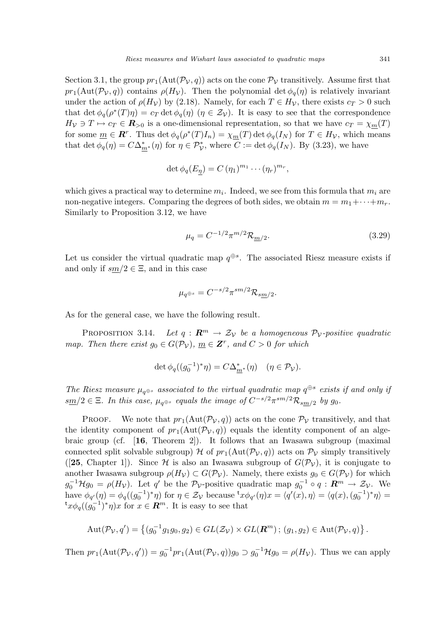Section 3.1, the group  $pr_1(\text{Aut}(\mathcal{P}_V, q))$  acts on the cone  $\mathcal{P}_V$  transitively. Assume first that  $pr_1(\text{Aut}(\mathcal{P}_\mathcal{V}, q))$  contains  $\rho(H_\mathcal{V})$ . Then the polynomial det  $\phi_q(\eta)$  is relatively invariant under the action of  $\rho(H_V)$  by (2.18). Namely, for each  $T \in H_V$ , there exists  $c_T > 0$  such that det  $\phi_q(\rho^*(T)\eta) = c_T \det \phi_q(\eta)$   $(\eta \in \mathcal{Z}_{\mathcal{V}})$ . It is easy to see that the correspondence  $H_V \ni T \mapsto c_T \in \mathbb{R}_{\geq 0}$  is a one-dimensional representation, so that we have  $c_T = \chi_m(T)$ for some  $\underline{m} \in \mathbb{R}^r$ . Thus  $\det \phi_q(\rho^*(T)I_n) = \chi_{\underline{m}}(T) \det \phi_q(I_N)$  for  $T \in H_V$ , which means that det  $\phi_q(\eta) = C\Delta_{\underline{m}^*}^*(\eta)$  for  $\eta \in \mathcal{P}_{\mathcal{V}}^*$ , where  $C := \det \phi_q(I_N)$ . By (3.23), we have

$$
\det \phi_q(E_\eta) = C (\eta_1)^{m_1} \cdots (\eta_r)^{m_r},
$$

which gives a practical way to determine  $m_i$ . Indeed, we see from this formula that  $m_i$  are non-negative integers. Comparing the degrees of both sides, we obtain  $m = m_1 + \cdots + m_r$ . Similarly to Proposition 3.12, we have

$$
\mu_q = C^{-1/2} \pi^{m/2} \mathcal{R}_{m/2}.
$$
\n(3.29)

Let us consider the virtual quadratic map  $q^{\oplus s}$ . The associated Riesz measure exists if and only if  $sm/2 \in \Xi$ , and in this case

$$
\mu_{q^{\oplus s}} = C^{-s/2} \pi^{sm/2} \mathcal{R}_{sm/2}.
$$

As for the general case, we have the following result.

PROPOSITION 3.14. Let  $q: \mathbb{R}^m \to \mathcal{Z}_{\mathcal{V}}$  be a homogeneous  $\mathcal{P}_{\mathcal{V}}$ -positive quadratic map. Then there exist  $g_0 \in G(\mathcal{P}_V)$ ,  $\underline{m} \in \mathbf{Z}^r$ , and  $C > 0$  for which

$$
\det \phi_q((g_0^{-1})^*\eta) = C\Delta_{m^*}^*(\eta) \quad (\eta \in \mathcal{P}_\mathcal{V}).
$$

The Riesz measure  $\mu_{q^{\oplus s}}$  associated to the virtual quadratic map  $q^{\oplus s}$  exists if and only if  $\frac{\text{sm}}{2} \in \Xi$ . In this case,  $\mu_{q^{\oplus s}}$  equals the image of  $C^{-s/2} \pi^{sm/2} \mathcal{R}_{sm/2}$  by  $g_0$ .

PROOF. We note that  $pr_1(\text{Aut}(\mathcal{P}_V, q))$  acts on the cone  $\mathcal{P}_V$  transitively, and that the identity component of  $pr_1(\text{Aut}(\mathcal{P}_V, q))$  equals the identity component of an algebraic group (cf. [16, Theorem 2]). It follows that an Iwasawa subgroup (maximal connected split solvable subgroup) H of  $pr_1(\text{Aut}(\mathcal{P}_\mathcal{V}, q))$  acts on  $\mathcal{P}_\mathcal{V}$  simply transitively ([25, Chapter 1]). Since H is also an Iwasawa subgroup of  $G(\mathcal{P}_V)$ , it is conjugate to another Iwasawa subgroup  $\rho(H_{\mathcal{V}}) \subset G(\mathcal{P}_{\mathcal{V}})$ . Namely, there exists  $g_0 \in G(\mathcal{P}_{\mathcal{V}})$  for which  $g_0^{-1} \mathcal{H} g_0 = \rho(H_\mathcal{V})$ . Let q' be the  $\mathcal{P}_{\mathcal{V}}$ -positive quadratic map  $g_0^{-1} \circ q : \mathbb{R}^m \to \mathcal{Z}_{\mathcal{V}}$ . We have  $\phi_{q'}(\eta) = \phi_q((g_0^{-1})^*\eta)$  for  $\eta \in \mathcal{Z}_{\mathcal{V}}$  because  ${}^{\mathsf{t}}x\phi_{q'}(\eta)x = \langle q'(x), \eta \rangle = \langle q(x), (g_0^{-1})^*\eta \rangle =$ <sup>t</sup> $x\phi_q((g_0^{-1})^*\eta)x$  for  $x \in \mathbb{R}^m$ . It is easy to see that

$$
Aut(\mathcal{P}_{\mathcal{V}}, q') = \left\{ (g_0^{-1}g_1g_0, g_2) \in GL(\mathcal{Z}_{\mathcal{V}}) \times GL(\mathbf{R}^m) \, ; \, (g_1, g_2) \in Aut(\mathcal{P}_{\mathcal{V}}, q) \right\}.
$$

Then  $pr_1(\text{Aut}(\mathcal{P}_{\mathcal{V}}, q')) = g_0^{-1}pr_1(\text{Aut}(\mathcal{P}_{\mathcal{V}}, q))g_0 \supset g_0^{-1} \mathcal{H}g_0 = \rho(H_{\mathcal{V}})$ . Thus we can apply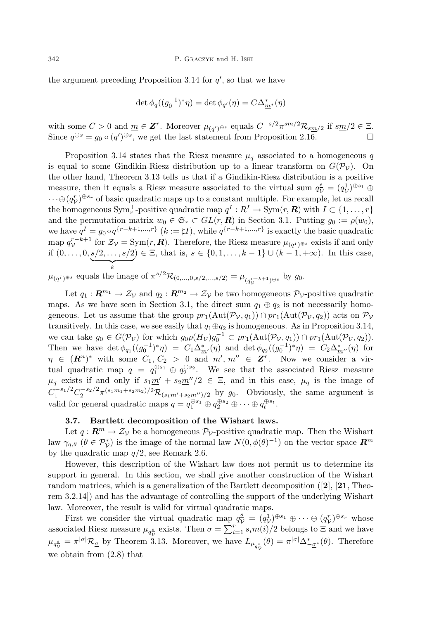the argument preceding Proposition 3.14 for  $q'$ , so that we have

$$
\det \phi_q((g_0^{-1})^*\eta) = \det \phi_{q'}(\eta) = C\Delta_{m^*}^*(\eta)
$$

with some  $C > 0$  and  $\underline{m} \in \mathbf{Z}^r$ . Moreover  $\mu_{(q')^{\oplus s}}$  equals  $C^{-s/2} \pi^{sm/2} \mathcal{R}_{sm/2}$  if  $s\underline{m}/2 \in \Xi$ . Since  $q^{\oplus s} = g_0 \circ (q')^{\oplus s}$ , we get the last statement from Proposition 2.16.

Proposition 3.14 states that the Riesz measure  $\mu_q$  associated to a homogeneous q is equal to some Gindikin-Riesz distribution up to a linear transform on  $G(\mathcal{P}_V)$ . On the other hand, Theorem 3.13 tells us that if a Gindikin-Riesz distribution is a positive measure, then it equals a Riesz measure associated to the virtual sum  $q_{\mathcal{V}}^s = (q_{\mathcal{V}}^1)^{\oplus s_1} \oplus$  $\cdots \oplus (q_V^r)^{\oplus s_r}$  of basic quadratic maps up to a constant multiple. For example, let us recall the homogeneous  $\text{Sym}_r^+$ -positive quadratic map  $q^I: R^I \to \text{Sym}(r, R)$  with  $I \subset \{1, \ldots, r\}$ and the permutation matrix  $w_0 \in \mathfrak{S}_r \subset GL(r, \mathbb{R})$  in Section 3.1. Putting  $g_0 := \rho(w_0)$ , we have  $q^I = g_0 \circ q^{\{r-k+1,\ldots,r\}}$   $(k := \sharp I)$ , while  $q^{\{r-k+1,\ldots,r\}}$  is exactly the basic quadratic map  $q_{\mathcal{V}}^{r-k+1}$  for  $\mathcal{Z}_{\mathcal{V}} = \text{Sym}(r, \mathbf{R})$ . Therefore, the Riesz measure  $\mu_{(q^I)^{\oplus s}}$  exists if and only if  $(0, \ldots, 0, \underbrace{s/2, \ldots, s/2}$ k ) ∈  $\Xi$ , that is,  $s \in \{0, 1, ..., k-1\}$  ∪  $(k-1, +\infty)$ . In this case,

 $\mu_{(q^I)^{\oplus s}}$  equals the image of  $\pi^{s/2} \mathcal{R}_{(0,\ldots,0,s/2,\ldots,s/2)} = \mu_{(q_{\mathcal{V}}^{r-k+1})^{\oplus s}}$  by  $g_0$ .

Let  $q_1 : \mathbb{R}^{m_1} \to \mathcal{Z}_{\mathcal{V}}$  and  $q_2 : \mathbb{R}^{m_2} \to \mathcal{Z}_{\mathcal{V}}$  be two homogeneous  $\mathcal{P}_{\mathcal{V}}$ -positive quadratic maps. As we have seen in Section 3.1, the direct sum  $q_1 \oplus q_2$  is not necessarily homogeneous. Let us assume that the group  $pr_1(\text{Aut}(\mathcal{P}_\mathcal{V}, q_1)) \cap pr_1(\text{Aut}(\mathcal{P}_\mathcal{V}, q_2))$  acts on  $\mathcal{P}_\mathcal{V}$ transitively. In this case, we see easily that  $q_1 \oplus q_2$  is homogeneous. As in Proposition 3.14, we can take  $g_0 \in G(\mathcal{P}_\mathcal{V})$  for which  $g_0 \rho(H_\mathcal{V}) g_0^{-1} \subset pr_1(\text{Aut}(\mathcal{P}_\mathcal{V}, q_1)) \cap pr_1(\text{Aut}(\mathcal{P}_\mathcal{V}, q_2)).$ Then we have  $\det \phi_{q_1}((g_0^{-1})^*\eta) = C_1\Delta_{m'}^*(\eta)$  and  $\det \phi_{q_2}((g_0^{-1})^*\eta) = C_2\Delta_{m''}^*(\eta)$  for  $\eta \in (R^n)^*$  with some  $C_1, C_2 > 0$  and  $\underline{m}', \underline{m}'' \in \mathbf{Z}^r$ . Now we consider a virtual quadratic map  $q = q_1^{\oplus s_1} \oplus q_2^{\oplus s_2}$ . We see that the associated Riesz measure  $\mu_q$  exists if and only if  $s_1m' + s_2m''/2 \in \Xi$ , and in this case,  $\mu_q$  is the image of  $C_1^{-s_1/2} C_2^{-s_2/2} \pi^{(s_1m_1+s_2m_2)/2} \mathcal{R}_{(s_1m'+s_2m'')/2}$  by  $g_0$ . Obviously, the same argument is valid for general quadratic maps  $q = q_1^{\oplus s_1} \oplus q_2^{\oplus s_2} \oplus \cdots \oplus q_t^{\oplus s_t}$ .

## 3.7. Bartlett decomposition of the Wishart laws.

Let  $q: \mathbb{R}^m \to \mathcal{Z}_{\mathcal{V}}$  be a homogeneous  $\mathcal{P}_{\mathcal{V}}$ -positive quadratic map. Then the Wishart law  $\gamma_{q,\theta}$  ( $\theta \in \mathcal{P}_{\mathcal{V}}^*$ ) is the image of the normal law  $N(0, \phi(\theta)^{-1})$  on the vector space  $\mathbb{R}^m$ by the quadratic map  $q/2$ , see Remark 2.6.

However, this description of the Wishart law does not permit us to determine its support in general. In this section, we shall give another construction of the Wishart random matrices, which is a generalization of the Bartlett decomposition  $([2], [21],$  Theorem 3.2.14]) and has the advantage of controlling the support of the underlying Wishart law. Moreover, the result is valid for virtual quadratic maps.

First we consider the virtual quadratic map  $q_{\mathcal{V}}^s = (q_{\mathcal{V}}^1)^{\oplus s_1} \oplus \cdots \oplus (q_{\mathcal{V}}^r)^{\oplus s_r}$  whose associated Riesz measure  $\mu_{q_{\mathcal{V}}^{\pm}}$  exists. Then  $\underline{\sigma} = \sum_{i=1}^{r} s_i \underline{m}(i)/2$  belongs to  $\Xi$  and we have  $\mu_{q_{\mathcal{V}}^s} = \pi^{|\underline{\sigma}|} \mathcal{R}_{\underline{\sigma}}$  by Theorem 3.13. Moreover, we have  $L_{\mu_{q_{\mathcal{V}}^s}}(\theta) = \pi^{|\underline{\sigma}|} \Delta_{-\underline{\sigma}^*}^*(\theta)$ . Therefore we obtain from (2.8) that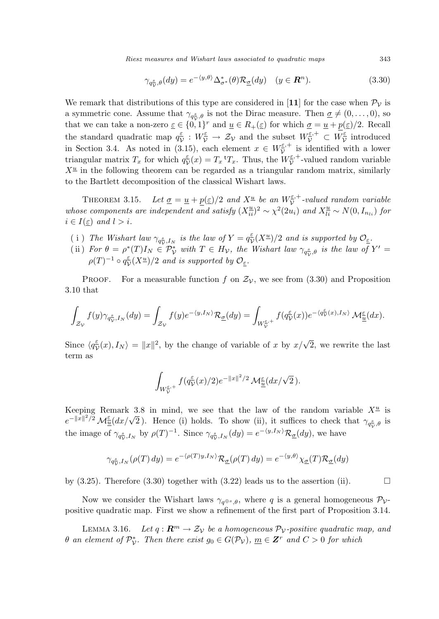Riesz measures and Wishart laws associated to quadratic maps 343

$$
\gamma_{q_{\mathcal{V}}^s,\theta}(dy) = e^{-\langle y,\theta \rangle} \Delta_{\sigma^*}^*(\theta) \mathcal{R}_{\underline{\sigma}}(dy) \quad (y \in \mathbf{R}^n). \tag{3.30}
$$

We remark that distributions of this type are considered in [11] for the case when  $\mathcal{P}_{\mathcal{V}}$  is a symmetric cone. Assume that  $\gamma_{q_{\mathcal{V}}^s, \theta}$  is not the Dirac measure. Then  $\underline{\sigma} \neq (0, \ldots, 0)$ , so that we can take a non-zero  $\underline{\varepsilon} \in \{0,1\}^r$  and  $\underline{u} \in R_+(\underline{\varepsilon})$  for which  $\underline{\sigma} = \underline{u} + p(\underline{\varepsilon})/2$ . Recall the standard quadratic map  $q_{\lambda}^{\varepsilon}$  $\frac{\varepsilon}{\mathcal{V}}: W^{\varepsilon}_{\mathcal{V}} \to \mathcal{Z}_{\mathcal{V}}$  and the subset  $W^{\varepsilon,+}_{\mathcal{V}} \subset W^{\varepsilon}_{\mathcal{V}}$  $\frac{\varepsilon}{\mathcal{V}}$  introduced in Section 3.4. As noted in (3.15), each element  $x \in W^{\epsilon,+}_{\mathcal{V}}$  $\bar{\mathcal{V}}^{\varepsilon,+}$  is identified with a lower triangular matrix  $T_x$  for which  $q^{\varepsilon}_{\lambda}$  $\frac{\varepsilon}{\mathcal{V}}(x) = T_x$ <sup>t</sup> $T_x$ . Thus, the  $W_{\mathcal{V}}^{\varepsilon,+}$  $\bar{\mathcal{V}}^+$ -valued random variable  $X^{\underline{u}}$  in the following theorem can be regarded as a triangular random matrix, similarly to the Bartlett decomposition of the classical Wishart laws.

THEOREM 3.15. Let  $\underline{\sigma} = \underline{u} + p(\underline{\varepsilon})/2$  and  $X^{\underline{u}}$  be an  $W^{\underline{\varepsilon},+}_{\mathcal{V}}$  $\bar{\mathcal{V}}^{E,+}$ -valued random variable whose components are independent and satisfy  $(X_{ii}^{\underline{u}})^2 \sim \chi^2(2u_i)$  and  $X_{li}^{\underline{u}} \sim N(0, I_{n_{li}})$  for  $i \in I(\varepsilon)$  and  $l > i$ .

- (i) The Wishart law  $\gamma_{q_{\mathcal{V}}^{\mathcal{S}},I_N}$  is the law of  $Y=q_{\mathcal{V}}^{\varepsilon}$  $\frac{\varepsilon}{\mathcal{V}}(X^{\underline{u}})/2$  and is supported by  $\mathcal{O}_{\underline{\varepsilon}}$ .
- (ii) For  $\theta = \rho^*(T)I_N \in \mathcal{P}_\mathcal{V}^*$  with  $T \in H_\mathcal{V}$ , the Wishart law  $\gamma_{q_\mathcal{V}^*,\theta}$  is the law of  $Y' =$  $\rho(T)^{-1} \circ q^{\varepsilon}_{\lambda}$  $\frac{\varepsilon}{\mathcal{V}}(X^{\underline{u}})/2$  and is supported by  $\mathcal{O}_{\underline{\varepsilon}}$ .

PROOF. For a measurable function f on  $\mathcal{Z}_{\mathcal{V}}$ , we see from (3.30) and Proposition 3.10 that

$$
\int_{\mathcal{Z}_{\mathcal{V}}}f(y)\gamma_{q_{\mathcal{V}}^{\underline{s}},I_{N}}(dy)=\int_{\mathcal{Z}_{\mathcal{V}}}f(y)e^{-\langle y,I_{N}\rangle}\mathcal{R}_{\underline{\sigma}}(dy)=\int_{W_{\mathcal{V}}^{\underline{\varepsilon},+}}f(q_{\mathcal{V}}^{\underline{\varepsilon}}(x))e^{-\langle q_{\mathcal{V}}^{\underline{\varepsilon}}(x),I_{N}\rangle}\,\mathcal{M}_{\underline{\underline{u}}}^{\underline{\varepsilon}}(dx).
$$

Since  $\langle q_{\rm u}^{\varepsilon} \rangle$  $\frac{\varepsilon}{\mathcal{V}}(x), I_N\rangle = ||x||^2$ , by the change of variable of x by  $x/\sqrt{2}$ , we rewrite the last term as

$$
\int_{W^{\underline{\varepsilon},+}_{\mathcal{V}}} f(q_{\mathcal{V}}^{\underline{\varepsilon}}(x)/2) e^{-\|x\|^2/2} \, \mathcal{M}^{\underline{\varepsilon}}_{\underline{u}}(dx/\sqrt{2}).
$$

Keeping Remark 3.8 in mind, we see that the law of the random variable  $X^{\underline{u}}$  is Reeping Remark 5.8 in mind, we see that the law of the random variable  $X^{\pm}$  is  $e^{-\|x\|^2/2} \mathcal{M}_{\underline{u}}^{\underline{\epsilon}}(dx/\sqrt{2})$ . Hence (i) holds. To show (ii), it suffices to check that  $\gamma_{q_{\mathcal{V}}^{\underline{s}},\theta}$  is the image of  $\gamma_{q_{\mathcal{V}}^{\mathcal{S}},I_N}$  by  $\rho(T)^{-1}$ . Since  $\gamma_{q_{\mathcal{V}}^{\mathcal{S}},I_N}(dy) = e^{-\langle y,I_N \rangle} \mathcal{R}_{\underline{\sigma}}(dy)$ , we have

$$
\gamma_{q_{\mathcal{V}}^{\mathcal{S}},I_{N}}(\rho(T) dy) = e^{-\langle \rho(T)y, I_{N} \rangle} \mathcal{R}_{\underline{\sigma}}(\rho(T) dy) = e^{-\langle y, \theta \rangle} \chi_{\underline{\sigma}}(T) \mathcal{R}_{\underline{\sigma}}(dy)
$$

by  $(3.25)$ . Therefore  $(3.30)$  together with  $(3.22)$  leads us to the assertion (ii).

Now we consider the Wishart laws  $\gamma_{q\oplus s,\theta}$ , where q is a general homogeneous  $\mathcal{P}_{V}$ positive quadratic map. First we show a refinement of the first part of Proposition 3.14.

LEMMA 3.16. Let  $q: \mathbb{R}^m \to \mathcal{Z}_{\mathcal{V}}$  be a homogeneous  $\mathcal{P}_{\mathcal{V}}$ -positive quadratic map, and  $\theta$  an element of  $\mathcal{P}_{\mathcal{V}}^*$ . Then there exist  $g_0 \in G(\mathcal{P}_{\mathcal{V}})$ ,  $\underline{m} \in \mathbf{Z}^r$  and  $C > 0$  for which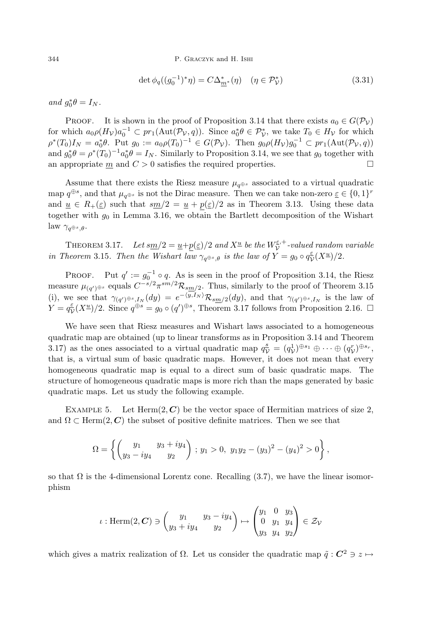$$
\det \phi_q((g_0^{-1})^*\eta) = C\Delta_{m^*}^*(\eta) \quad (\eta \in \mathcal{P}_\mathcal{V}^*)
$$
\n(3.31)

and  $g_0^* \theta = I_N$ .

PROOF. It is shown in the proof of Proposition 3.14 that there exists  $a_0 \in G(\mathcal{P}_\mathcal{V})$ for which  $a_0 \rho(H_V) a_0^{-1} \subset pr_1(\text{Aut}(\mathcal{P}_V, q))$ . Since  $a_0^* \theta \in \mathcal{P}_V^*$ , we take  $T_0 \in H_V$  for which  $\rho^*(T_0)I_N = a_0^*\theta$ . Put  $g_0 := a_0\rho(T_0)^{-1} \in G(\mathcal{P}_\mathcal{V})$ . Then  $g_0\rho(H_\mathcal{V})g_0^{-1} \subset pr_1(\text{Aut}(\mathcal{P}_\mathcal{V}, q))$ and  $g_0^* \theta = \rho^*(T_0)^{-1} a_0^* \theta = I_N$ . Similarly to Proposition 3.14, we see that  $g_0$  together with an appropriate m and  $C > 0$  satisfies the required properties.

Assume that there exists the Riesz measure  $\mu_{q\oplus s}$  associated to a virtual quadratic map  $q^{\oplus s}$ , and that  $\mu_{q^{\oplus s}}$  is not the Dirac measure. Then we can take non-zero  $\underline{\varepsilon} \in \{0,1\}^r$ and  $u \in R_+(\varepsilon)$  such that  $sm/2 = u + p(\varepsilon)/2$  as in Theorem 3.13. Using these data together with  $g_0$  in Lemma 3.16, we obtain the Bartlett decomposition of the Wishart law  $\gamma_{q^{\oplus s},\theta}$ .

THEOREM 3.17. Let  $\frac{\text{Im}}{2} = \frac{u + p(\varepsilon)}{2}$  and  $X^{\underline{u}}$  be the  $W^{\underline{\varepsilon},+}_{\mathcal{V}}$  $\bar{\mathcal{V}}^{z,+}$ -valued random variable in Theorem 3.15. Then the Wishart law  $\gamma_{q\oplus s,\theta}$  is the law of  $Y = g_0 \circ q_{\lambda}^{\varepsilon}$  $\frac{\varepsilon}{\mathcal{V}}(X^{\underline{u}})/2.$ 

PROOF. Put  $q' := g_0^{-1} \circ q$ . As is seen in the proof of Proposition 3.14, the Riesz measure  $\mu_{(q')^{\oplus s}}$  equals  $C^{-s/2}\pi^{sm/2}\mathcal{R}_{sm/2}$ . Thus, similarly to the proof of Theorem 3.15 (i), we see that  $\gamma_{(q')\oplus s,I_N}(dy) = e^{-\langle y,I_N\rangle} \mathcal{R}_{sm/2}(dy)$ , and that  $\gamma_{(q')\oplus s,I_N}$  is the law of  $Y = q_{\textrm{\tiny L}}^{\varepsilon}$  $\frac{\varepsilon}{\mathcal{V}}(X^{\underline{u}})/2$ . Since  $q^{\oplus s} = g_0 \circ (q')^{\oplus s}$ , Theorem 3.17 follows from Proposition 2.16.  $\Box$ 

We have seen that Riesz measures and Wishart laws associated to a homogeneous quadratic map are obtained (up to linear transforms as in Proposition 3.14 and Theorem 3.17) as the ones associated to a virtual quadratic map  $q_{\mathcal{V}}^s = (q_{\mathcal{V}}^1)^{\oplus s_1} \oplus \cdots \oplus (q_{\mathcal{V}}^r)^{\oplus s_r}$ , that is, a virtual sum of basic quadratic maps. However, it does not mean that every homogeneous quadratic map is equal to a direct sum of basic quadratic maps. The structure of homogeneous quadratic maps is more rich than the maps generated by basic quadratic maps. Let us study the following example.

EXAMPLE 5. Let  $\text{Herm}(2, \mathbb{C})$  be the vector space of Hermitian matrices of size 2, and  $\Omega \subset \text{Herm}(2, \mathbb{C})$  the subset of positive definite matrices. Then we see that

$$
\Omega = \left\{ \begin{pmatrix} y_1 & y_3 + iy_4 \\ y_3 - iy_4 & y_2 \end{pmatrix} ; y_1 > 0, \ y_1y_2 - (y_3)^2 - (y_4)^2 > 0 \right\},\
$$

so that  $\Omega$  is the 4-dimensional Lorentz cone. Recalling (3.7), we have the linear isomorphism

$$
\iota: \text{Herm}(2, \mathbf{C}) \ni \begin{pmatrix} y_1 & y_3 - iy_4 \\ y_3 + iy_4 & y_2 \end{pmatrix} \mapsto \begin{pmatrix} y_1 & 0 & y_3 \\ 0 & y_1 & y_4 \\ y_3 & y_4 & y_2 \end{pmatrix} \in \mathcal{Z}_{\mathcal{V}}
$$

which gives a matrix realization of  $\Omega$ . Let us consider the quadratic map  $\tilde{q}: C^2 \ni z \mapsto$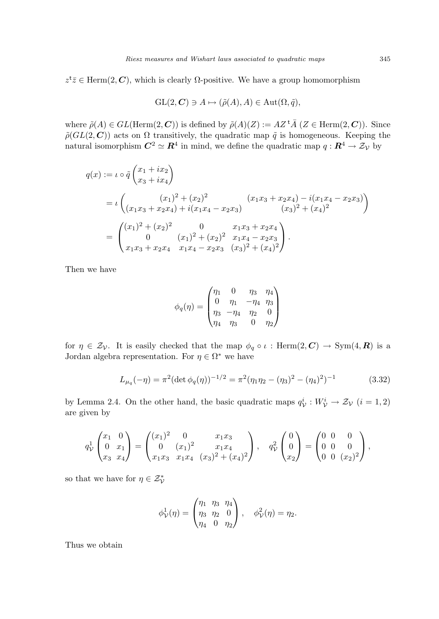$z^{\mathsf{t}}\overline{z} \in \text{Herm}(2, \mathbb{C})$ , which is clearly  $\Omega$ -positive. We have a group homomorphism

$$
\operatorname{GL}(2,\mathbf{C})\ni A\mapsto (\tilde{\rho}(A),A)\in \operatorname{Aut}(\Omega,\tilde{q}),
$$

where  $\tilde{\rho}(A) \in GL(\text{Herm}(2,\mathbb{C}))$  is defined by  $\tilde{\rho}(A)(Z) := AZ^{\dagger} \overline{A}$   $(Z \in \text{Herm}(2,\mathbb{C}))$ . Since  $\tilde{\rho}(GL(2, \mathbf{C}))$  acts on  $\Omega$  transitively, the quadratic map  $\tilde{q}$  is homogeneous. Keeping the natural isomorphism  $C^2 \simeq \mathbb{R}^4$  in mind, we define the quadratic map  $q: \mathbb{R}^4 \to \mathcal{Z}_{\mathcal{V}}$  by

$$
q(x) := \iota \circ \tilde{q} \begin{pmatrix} x_1 + ix_2 \\ x_3 + ix_4 \end{pmatrix}
$$
  
=  $\iota \begin{pmatrix} (x_1)^2 + (x_2)^2 & (x_1x_3 + x_2x_4) - i(x_1x_4 - x_2x_3) \\ (x_1x_3 + x_2x_4) + i(x_1x_4 - x_2x_3) & (x_3)^2 + (x_4)^2 \end{pmatrix}$   
=  $\begin{pmatrix} (x_1)^2 + (x_2)^2 & 0 & x_1x_3 + x_2x_4 \\ 0 & (x_1)^2 + (x_2)^2 & x_1x_4 - x_2x_3 \\ x_1x_3 + x_2x_4 & x_1x_4 - x_2x_3 & (x_3)^2 + (x_4)^2 \end{pmatrix}$ .

Then we have

$$
\phi_q(\eta) = \begin{pmatrix} \eta_1 & 0 & \eta_3 & \eta_4 \\ 0 & \eta_1 & -\eta_4 & \eta_3 \\ \eta_3 & -\eta_4 & \eta_2 & 0 \\ \eta_4 & \eta_3 & 0 & \eta_2 \end{pmatrix}
$$

for  $\eta \in \mathcal{Z}_{\mathcal{V}}$ . It is easily checked that the map  $\phi_q \circ \iota$ : Herm $(2, \mathbb{C}) \to \text{Sym}(4, \mathbb{R})$  is a Jordan algebra representation. For  $\eta \in \Omega^*$  we have

$$
L_{\mu_q}(-\eta) = \pi^2 (\det \phi_q(\eta))^{-1/2} = \pi^2 (\eta_1 \eta_2 - (\eta_3)^2 - (\eta_4)^2)^{-1}
$$
(3.32)

by Lemma 2.4. On the other hand, the basic quadratic maps  $q_V^i : W_V^i \to \mathcal{Z}_V$   $(i = 1, 2)$ are given by

$$
q_{\mathcal{V}}^1 \begin{pmatrix} x_1 & 0 \\ 0 & x_1 \\ x_3 & x_4 \end{pmatrix} = \begin{pmatrix} (x_1)^2 & 0 & x_1x_3 \\ 0 & (x_1)^2 & x_1x_4 \\ x_1x_3 & x_1x_4 & (x_3)^2 + (x_4)^2 \end{pmatrix}, \quad q_{\mathcal{V}}^2 \begin{pmatrix} 0 \\ 0 \\ x_2 \end{pmatrix} = \begin{pmatrix} 0 & 0 & 0 \\ 0 & 0 & 0 \\ 0 & 0 & (x_2)^2 \end{pmatrix},
$$

so that we have for  $\eta \in \mathcal{Z}_{\mathcal{V}}^*$ 

$$
\phi_{\mathcal{V}}^1(\eta) = \begin{pmatrix} \eta_1 & \eta_3 & \eta_4 \\ \eta_3 & \eta_2 & 0 \\ \eta_4 & 0 & \eta_2 \end{pmatrix}, \quad \phi_{\mathcal{V}}^2(\eta) = \eta_2.
$$

Thus we obtain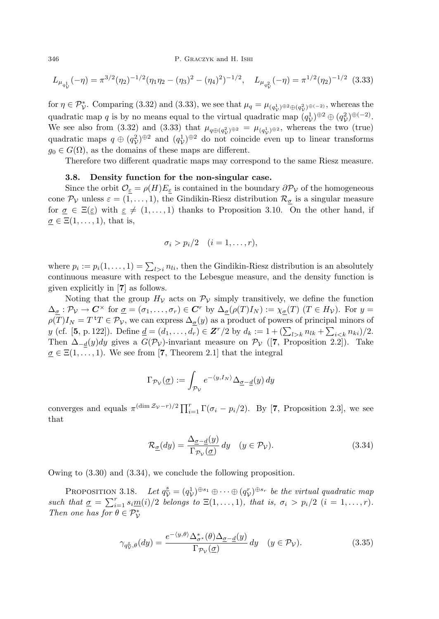346 P. Graczyk and H. Ishi

$$
L_{\mu_{q_{\mathcal{V}}}^1}(-\eta) = \pi^{3/2}(\eta_2)^{-1/2}(\eta_1\eta_2 - (\eta_3)^2 - (\eta_4)^2)^{-1/2}, \quad L_{\mu_{q_{\mathcal{V}}}^2}(-\eta) = \pi^{1/2}(\eta_2)^{-1/2} \tag{3.33}
$$

for  $\eta \in \mathcal{P}_{\mathcal{V}}^*$ . Comparing (3.32) and (3.33), we see that  $\mu_q = \mu_{(q^1_{\mathcal{V}})^{\oplus 2} \oplus (q^2_{\mathcal{V}})^{\oplus (-2)}}$ , whereas the quadratic map q is by no means equal to the virtual quadratic map  $(q_{\mathcal{V}}^1)^{\oplus 2} \oplus (q_{\mathcal{V}}^2)^{\oplus (-2)}$ . We see also from (3.32) and (3.33) that  $\mu_{q \oplus (q_{\mathcal{V}}^2)^{\oplus 2}} = \mu_{(q_{\mathcal{V}}^1)^{\oplus 2}}$ , whereas the two (true) quadratic maps  $q \oplus (q_V^2)^{\oplus 2}$  and  $(q_V^1)^{\oplus 2}$  do not coincide even up to linear transforms  $g_0 \in G(\Omega)$ , as the domains of these maps are different.

Therefore two different quadratic maps may correspond to the same Riesz measure.

#### 3.8. Density function for the non-singular case.

Since the orbit  $\mathcal{O}_{\varepsilon} = \rho(H)E_{\varepsilon}$  is contained in the boundary  $\partial \mathcal{P}_{\mathcal{V}}$  of the homogeneous cone  $\mathcal{P}_{\mathcal{V}}$  unless  $\varepsilon = (1,\ldots,1)$ , the Gindikin-Riesz distribution  $\mathcal{R}_{\sigma}$  is a singular measure for  $\sigma \in \Xi(\varepsilon)$  with  $\varepsilon \neq (1,\ldots,1)$  thanks to Proposition 3.10. On the other hand, if  $\sigma \in \Xi(1,\ldots,1)$ , that is,

$$
\sigma_i > p_i/2 \quad (i=1,\ldots,r),
$$

where  $p_i := p_i(1, \ldots, 1) = \sum_{l > i} n_{li}$ , then the Gindikin-Riesz distribution is an absolutely continuous measure with respect to the Lebesgue measure, and the density function is given explicitly in [7] as follows.

Noting that the group  $H_V$  acts on  $\mathcal{P}_V$  simply transitively, we define the function  $\Delta_{\sigma}: \mathcal{P}_{\mathcal{V}} \to \mathbf{C}^{\times}$  for  $\underline{\sigma} = (\sigma_1, \ldots, \sigma_r) \in \mathbf{C}^r$  by  $\Delta_{\sigma}(\rho(T)I_N) := \chi_{\sigma}(T)$   $(T \in H_{\mathcal{V}})$ . For  $y =$  $\rho(T)I_N = T^{\dagger}T \in \mathcal{P}_V$ , we can express  $\Delta_{\sigma}(y)$  as a product of powers of principal minors of  $y$  (cf. [5, p. 122]). Define  $\underline{d} = (d_1, \ldots, d_r) \in \mathbf{Z}^r/2$  by  $d_k := 1 + (\sum_{l > k} n_{lk} + \sum_{i < k} n_{ki})/2$ . Then  $\Delta_{-d}(y)dy$  gives a  $G(\mathcal{P}_\mathcal{V})$ -invariant measure on  $\mathcal{P}_\mathcal{V}$  ([7, Proposition 2.2]). Take  $\sigma \in \Xi(1,\ldots,1)$ . We see from [7, Theorem 2.1] that the integral

$$
\Gamma_{\mathcal{P}_\mathcal{V}}(\underline{\sigma}) := \int_{\mathcal{P}_\mathcal{V}} e^{-\langle y, I_N \rangle} \Delta_{\underline{\sigma} - \underline{d}}(y) \, dy
$$

converges and equals  $\pi^{(\dim \mathcal{Z}_{\mathcal{V}}-r)/2} \prod_{i=1}^r \Gamma(\sigma_i - p_i/2)$ . By [7, Proposition 2.3], we see that

$$
\mathcal{R}_{\underline{\sigma}}(dy) = \frac{\Delta_{\underline{\sigma}-\underline{d}}(y)}{\Gamma_{\mathcal{P}_{\mathcal{V}}}(\underline{\sigma})} dy \quad (y \in \mathcal{P}_{\mathcal{V}}).
$$
\n(3.34)

Owing to (3.30) and (3.34), we conclude the following proposition.

PROPOSITION 3.18. Let  $q_{\mathcal{V}}^s = (q_{\mathcal{V}}^1)^{\oplus s_1} \oplus \cdots \oplus (q_{\mathcal{V}}^r)^{\oplus s_r}$  be the virtual quadratic map such that  $\underline{\sigma} = \sum_{i=1}^r s_i \underline{m}(i)/2$  belongs to  $\Xi(1,\ldots,1)$ , that is,  $\sigma_i > p_i/2$   $(i = 1,\ldots,r)$ . Then one has for  $\theta \in \mathcal{P}_{\mathcal{V}}^*$ 

$$
\gamma_{q_{\mathcal{V}}^{\mathcal{S}},\theta}(dy) = \frac{e^{-\langle y,\theta\rangle} \Delta_{\sigma^*}^*(\theta) \Delta_{\underline{\sigma}-\underline{d}}(y)}{\Gamma_{\mathcal{P}_{\mathcal{V}}}(\underline{\sigma})} dy \quad (y \in \mathcal{P}_{\mathcal{V}}).
$$
\n(3.35)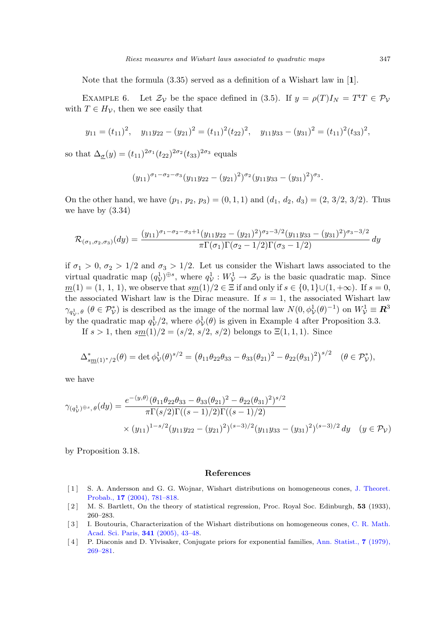Note that the formula (3.35) served as a definition of a Wishart law in [1].

EXAMPLE 6. Let  $\mathcal{Z}_{\mathcal{V}}$  be the space defined in (3.5). If  $y = \rho(T)I_N = T^{\dagger}T \in \mathcal{P}_{\mathcal{V}}$ with  $T \in H_{\mathcal{V}}$ , then we see easily that

$$
y_{11} = (t_{11})^2
$$
,  $y_{11}y_{22} - (y_{21})^2 = (t_{11})^2(t_{22})^2$ ,  $y_{11}y_{33} - (y_{31})^2 = (t_{11})^2(t_{33})^2$ ,

so that  $\Delta_{\underline{\sigma}}(y) = (t_{11})^{2\sigma_1} (t_{22})^{2\sigma_2} (t_{33})^{2\sigma_3}$  equals

$$
(y_{11})^{\sigma_1-\sigma_2-\sigma_3}(y_{11}y_{22}-(y_{21})^2)^{\sigma_2}(y_{11}y_{33}-(y_{31})^2)^{\sigma_3}.
$$

On the other hand, we have  $(p_1, p_2, p_3) = (0, 1, 1)$  and  $(d_1, d_2, d_3) = (2, 3/2, 3/2)$ . Thus we have by (3.34)

$$
\mathcal{R}_{(\sigma_1,\sigma_2,\sigma_3)}(dy) = \frac{(y_{11})^{\sigma_1-\sigma_2-\sigma_3+1}(y_{11}y_{22}-(y_{21})^2)^{\sigma_2-3/2}(y_{11}y_{33}-(y_{31})^2)^{\sigma_3-3/2}}{\pi \Gamma(\sigma_1)\Gamma(\sigma_2-1/2)\Gamma(\sigma_3-1/2)} dy
$$

if  $\sigma_1 > 0$ ,  $\sigma_2 > 1/2$  and  $\sigma_3 > 1/2$ . Let us consider the Wishart laws associated to the virtual quadratic map  $(q_{\mathcal{V}}^1)^{\oplus s}$ , where  $q_{\mathcal{V}}^1 : W_{\mathcal{V}}^1 \to \mathcal{Z}_{\mathcal{V}}$  is the basic quadratic map. Since  $m(1) = (1, 1, 1)$ , we observe that  $sm(1)/2 \in \Xi$  if and only if  $s \in \{0, 1\} \cup (1, +\infty)$ . If  $s = 0$ , the associated Wishart law is the Dirac measure. If  $s = 1$ , the associated Wishart law  $\gamma_{q_{\mathcal{V}}^1, \theta}$  ( $\theta \in \mathcal{P}_{\mathcal{V}}^*$ ) is described as the image of the normal law  $N(0, \phi_{\mathcal{V}}^1(\theta)^{-1})$  on  $W_{\mathcal{V}}^1 \equiv \mathbb{R}^3$ by the quadratic map  $q_V^1/2$ , where  $\phi_V^1(\theta)$  is given in Example 4 after Proposition 3.3.

If  $s > 1$ , then  $sm(1)/2 = (s/2, s/2, s/2)$  belongs to  $\Xi(1,1,1)$ . Since

$$
\Delta_{s\underline{m}(1)^*/2}^*(\theta) = \det \phi_{\mathcal{V}}^1(\theta)^{s/2} = \left(\theta_{11}\theta_{22}\theta_{33} - \theta_{33}(\theta_{21})^2 - \theta_{22}(\theta_{31})^2\right)^{s/2} \quad (\theta \in \mathcal{P}_{\mathcal{V}}^*),
$$

we have

$$
\gamma_{(q_{\mathcal{V}}^1)^{\oplus s},\theta}(dy) = \frac{e^{-\langle y,\theta\rangle}(\theta_{11}\theta_{22}\theta_{33} - \theta_{33}(\theta_{21})^2 - \theta_{22}(\theta_{31})^2)^{s/2}}{\pi \Gamma(s/2)\Gamma((s-1)/2)\Gamma((s-1)/2)}
$$
  
 
$$
\times (y_{11})^{1-s/2}(y_{11}y_{22} - (y_{21})^2)^{(s-3)/2}(y_{11}y_{33} - (y_{31})^2)^{(s-3)/2}dy \quad (y \in \mathcal{P}_{\mathcal{V}})
$$

by Proposition 3.18.

#### References

- [1] [S. A. Andersson and G. G. Wojnar, Wishart distributions on homogeneous cones,](http://dx.doi.org/10.1007/s10959-004-0576-z) J. Theoret. Probab., 17 (2004), 781–818.
- [2] M. S. Bartlett, On the theory of statistical regression, Proc. Royal Soc. Edinburgh, 53 (1933), 260–283.
- [ 3 ] [I. Boutouria, Characterization of the Wishart distributions on homogeneous cones,](http://dx.doi.org/10.1016/j.crma.2005.05.022) C. R. Math. Acad. Sci. Paris, 341 (2005), 43–48.
- [4] [P. Diaconis and D. Ylvisaker, Conjugate priors for exponential families,](http://dx.doi.org/10.1214/aos/1176344611) Ann. Statist., 7 (1979), 269–281.